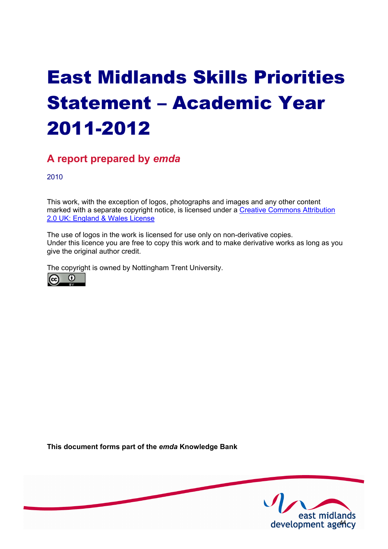# East Midlands Skills Priorities Statement – Academic Year 2011-2012

# **A report prepared by** *emda*

2010

This work, with the exception of logos, photographs and images and any other content [marked with a separate copyright notice, is licensed under a Creative Commons Attribution](http://creativecommons.org/licenses/by/2.0/uk) 2.0 UK: England & Wales License

The use of logos in the work is licensed for use only on non-derivative copies. Under this licence you are free to copy this work and to make derivative works as long as you give the original author credit.

The copyright is owned by Nottingham Trent University.



**This document forms part of the** *emda* **Knowledge Bank** 

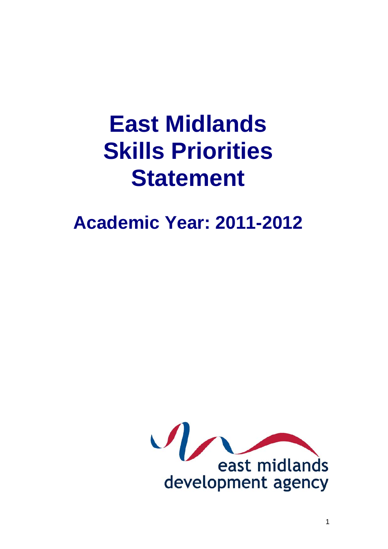# **East Midlands Skills Priorities Statement**

# **Academic Year: 2011-2012**

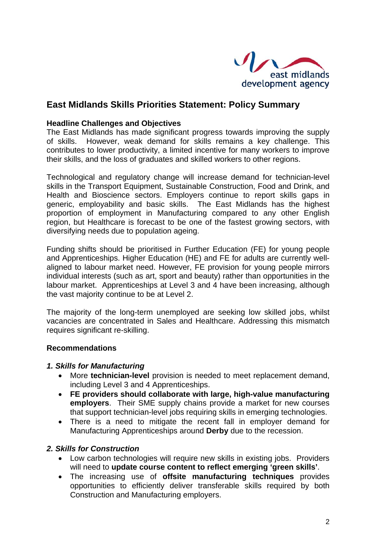

# **East Midlands Skills Priorities Statement: Policy Summary**

#### **Headline Challenges and Objectives**

The East Midlands has made significant progress towards improving the supply of skills. However, weak demand for skills remains a key challenge. This contributes to lower productivity, a limited incentive for many workers to improve their skills, and the loss of graduates and skilled workers to other regions.

Technological and regulatory change will increase demand for technician-level skills in the Transport Equipment, Sustainable Construction, Food and Drink, and Health and Bioscience sectors. Employers continue to report skills gaps in generic, employability and basic skills. The East Midlands has the highest proportion of employment in Manufacturing compared to any other English region, but Healthcare is forecast to be one of the fastest growing sectors, with diversifying needs due to population ageing.

Funding shifts should be prioritised in Further Education (FE) for young people and Apprenticeships. Higher Education (HE) and FE for adults are currently wellaligned to labour market need. However, FE provision for young people mirrors individual interests (such as art, sport and beauty) rather than opportunities in the labour market. Apprenticeships at Level 3 and 4 have been increasing, although the vast majority continue to be at Level 2.

The majority of the long-term unemployed are seeking low skilled jobs, whilst vacancies are concentrated in Sales and Healthcare. Addressing this mismatch requires significant re-skilling.

#### **Recommendations**

#### *1. Skills for Manufacturing*

- More **technician-level** provision is needed to meet replacement demand, including Level 3 and 4 Apprenticeships.
- **FE providers should collaborate with large, high-value manufacturing employers**. Their SME supply chains provide a market for new courses that support technician-level jobs requiring skills in emerging technologies.
- There is a need to mitigate the recent fall in employer demand for Manufacturing Apprenticeships around **Derby** due to the recession.

#### *2. Skills for Construction*

- Low carbon technologies will require new skills in existing jobs. Providers will need to **update course content to reflect emerging 'green skills'**.
- The increasing use of **offsite manufacturing techniques** provides opportunities to efficiently deliver transferable skills required by both Construction and Manufacturing employers.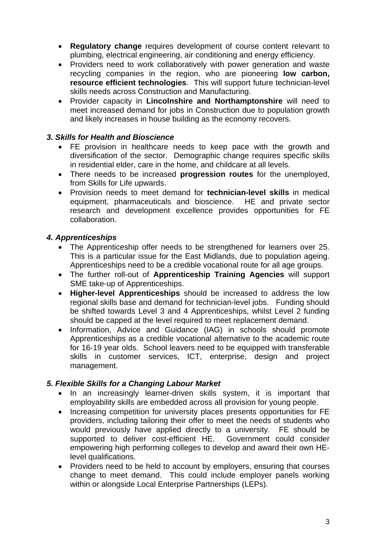- **Regulatory change** requires development of course content relevant to plumbing, electrical engineering, air conditioning and energy efficiency.
- Providers need to work collaboratively with power generation and waste recycling companies in the region, who are pioneering **low carbon, resource efficient technologies**. This will support future technician-level skills needs across Construction and Manufacturing.
- Provider capacity in **Lincolnshire and Northamptonshire** will need to meet increased demand for jobs in Construction due to population growth and likely increases in house building as the economy recovers.

#### *3. Skills for Health and Bioscience*

- FE provision in healthcare needs to keep pace with the growth and diversification of the sector. Demographic change requires specific skills in residential elder, care in the home, and childcare at all levels.
- There needs to be increased **progression routes** for the unemployed, from Skills for Life upwards.
- Provision needs to meet demand for **technician-level skills** in medical equipment, pharmaceuticals and bioscience. HE and private sector research and development excellence provides opportunities for FE collaboration.

## *4. Apprenticeships*

- The Apprenticeship offer needs to be strengthened for learners over 25. This is a particular issue for the East Midlands, due to population ageing. Apprenticeships need to be a credible vocational route for all age groups.
- The further roll-out of **Apprenticeship Training Agencies** will support SME take-up of Apprenticeships.
- **Higher-level Apprenticeships** should be increased to address the low regional skills base and demand for technician-level jobs. Funding should be shifted towards Level 3 and 4 Apprenticeships, whilst Level 2 funding should be capped at the level required to meet replacement demand.
- Information, Advice and Guidance (IAG) in schools should promote Apprenticeships as a credible vocational alternative to the academic route for 16-19 year olds. School leavers need to be equipped with transferable skills in customer services, ICT, enterprise, design and project management.

# *5. Flexible Skills for a Changing Labour Market*

- In an increasingly learner-driven skills system, it is important that employability skills are embedded across all provision for young people.
- Increasing competition for university places presents opportunities for FE providers, including tailoring their offer to meet the needs of students who would previously have applied directly to a university. FE should be supported to deliver cost-efficient HE. Government could consider empowering high performing colleges to develop and award their own HElevel qualifications.
- Providers need to be held to account by employers, ensuring that courses change to meet demand. This could include employer panels working within or alongside Local Enterprise Partnerships (LEPs).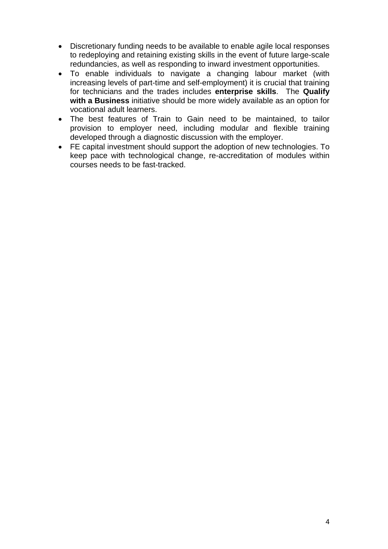- Discretionary funding needs to be available to enable agile local responses to redeploying and retaining existing skills in the event of future large-scale redundancies, as well as responding to inward investment opportunities.
- To enable individuals to navigate a changing labour market (with increasing levels of part-time and self-employment) it is crucial that training for technicians and the trades includes **enterprise skills**. The **Qualify with a Business** initiative should be more widely available as an option for vocational adult learners.
- The best features of Train to Gain need to be maintained, to tailor provision to employer need, including modular and flexible training developed through a diagnostic discussion with the employer.
- FE capital investment should support the adoption of new technologies. To keep pace with technological change, re-accreditation of modules within courses needs to be fast-tracked.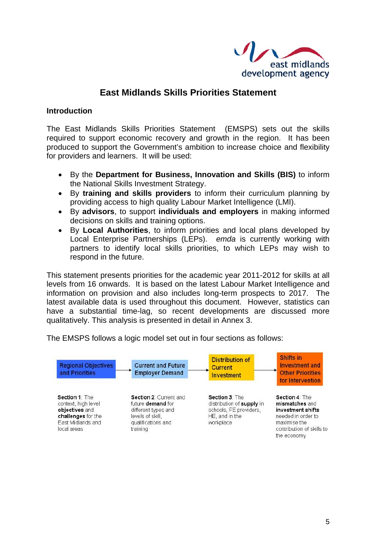

# **East Midlands Skills Priorities Statement**

#### **Introduction**

The East Midlands Skills Priorities Statement (EMSPS) sets out the skills required to support economic recovery and growth in the region. It has been produced to support the Government's ambition to increase choice and flexibility for providers and learners. It will be used:

- By the **Department for Business, Innovation and Skills (BIS)** to inform the National Skills Investment Strategy.
- By **training and skills providers** to inform their curriculum planning by providing access to high quality Labour Market Intelligence (LMI).
- By **advisors**, to support **individuals and employers** in making informed decisions on skills and training options.
- By **Local Authorities**, to inform priorities and local plans developed by Local Enterprise Partnerships (LEPs). *emda* is currently working with partners to identify local skills priorities, to which LEPs may wish to respond in the future.

This statement presents priorities for the academic year 2011-2012 for skills at all levels from 16 onwards. It is based on the latest Labour Market Intelligence and information on provision and also includes long-term prospects to 2017. The latest available data is used throughout this document. However, statistics can have a substantial time-lag, so recent developments are discussed more qualitatively. This analysis is presented in detail in Annex 3.

The EMSPS follows a logic model set out in four sections as follows:

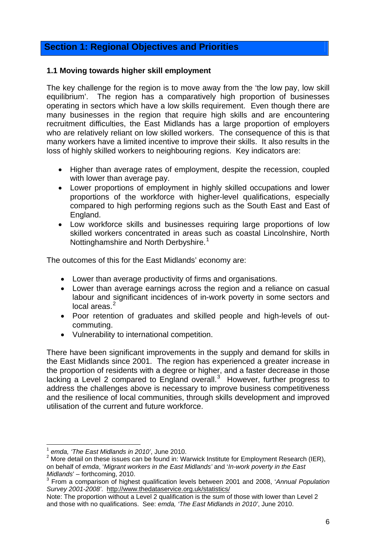# **Section 1: Regional Objectives and Priorities**

#### **1.1 Moving towards higher skill employment**

The key challenge for the region is to move away from the 'the low pay, low skill equilibrium'. The region has a comparatively high proportion of businesses operating in sectors which have a low skills requirement. Even though there are many businesses in the region that require high skills and are encountering recruitment difficulties, the East Midlands has a large proportion of employers who are relatively reliant on low skilled workers. The consequence of this is that many workers have a limited incentive to improve their skills. It also results in the loss of highly skilled workers to neighbouring regions. Key indicators are:

- Higher than average rates of employment, despite the recession, coupled with lower than average pay.
- Lower proportions of employment in highly skilled occupations and lower proportions of the workforce with higher-level qualifications, especially compared to high performing regions such as the South East and East of England.
- Low workforce skills and businesses requiring large proportions of low skilled workers concentrated in areas such as coastal Lincolnshire, North Nottinghamshire and North Derbyshire.<sup>[1](#page-6-0)</sup>

The outcomes of this for the East Midlands' economy are:

- Lower than average productivity of firms and organisations.
- Lower than average earnings across the region and a reliance on casual labour and significant incidences of in-work poverty in some sectors and local areas $<sup>2</sup>$  $<sup>2</sup>$  $<sup>2</sup>$ </sup>
- Poor retention of graduates and skilled people and high-levels of outcommuting.
- Vulnerability to international competition.

There have been significant improvements in the supply and demand for skills in the East Midlands since 2001. The region has experienced a greater increase in the proportion of residents with a degree or higher, and a faster decrease in those lacking a Level 2 compared to England overall. $3$  However, further progress to address the challenges above is necessary to improve business competitiveness and the resilience of local communities, through skills development and improved utilisation of the current and future workforce.

 <sup>1</sup> *emda, 'The East Midlands in 2010'*, June 2010.

<span id="page-6-1"></span><span id="page-6-0"></span><sup>&</sup>lt;sup>2</sup> More detail on these issues can be found in: Warwick Institute for Employment Research (IER), on behalf of *emda*, '*Migrant workers in the East Midlands'* and '*In-work poverty in the East Midlands'* – forthcoming, 2010.

<span id="page-6-2"></span>From a comparison of highest qualification levels between 2001 and 2008, '*Annual Population Survey 2001-2008'*. [http://www.thedataservice.org.uk/statistics/](http://www.thedataservice.org.uk/statistics/sfrdec09/sfr_dec09_labour_force_tables.htm) 

Note: The proportion without a Level 2 qualification is the sum of those with lower than Level 2 and those with no qualifications. See: *emda, 'The East Midlands in 2010'*, June 2010.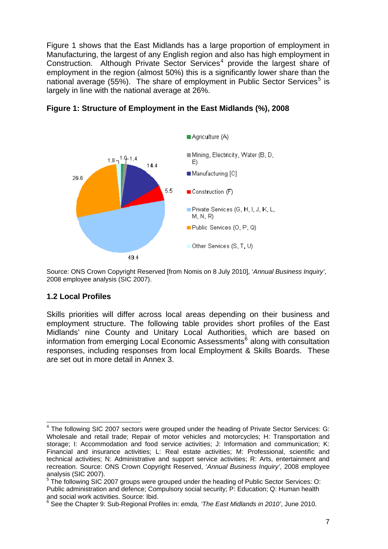Figure 1 shows that the East Midlands has a large proportion of employment in Manufacturing, the largest of any English region and also has high employment in Construction. Although Private Sector Services<sup>[4](#page-7-0)</sup> provide the largest share of employment in the region (almost 50%) this is a significantly lower share than the national average ([5](#page-7-1)5%). The share of employment in Public Sector Services<sup>5</sup> is largely in line with the national average at 26%.



**Figure 1: Structure of Employment in the East Midlands (%), 2008**

Source: ONS Crown Copyright Reserved [from Nomis on 8 July 2010], '*Annual Business Inquiry'*, 2008 employee analysis (SIC 2007).

#### **1.2 Local Profiles**

Skills priorities will differ across local areas depending on their business and employment structure. The following table provides short profiles of the East Midlands' nine County and Unitary Local Authorities, which are based on information from emerging Local Economic Assessments<sup>[6](#page-7-2)</sup> along with consultation responses, including responses from local Employment & Skills Boards. These are set out in more detail in Annex 3.

<span id="page-7-0"></span> 4 The following SIC 2007 sectors were grouped under the heading of Private Sector Services: G: Wholesale and retail trade; Repair of motor vehicles and motorcycles; H: Transportation and storage; I: Accommodation and food service activities; J: Information and communication; K: Financial and insurance activities; L: Real estate activities; M: Professional, scientific and technical activities; N: Administrative and support service activities; R: Arts, entertainment and recreation. Source: ONS Crown Copyright Reserved, '*Annual Business Inquiry'*, 2008 employee analysis (SIC 2007).

<span id="page-7-1"></span><sup>5</sup> The following SIC 2007 groups were grouped under the heading of Public Sector Services: O: Public administration and defence; Compulsory social security; P: Education; Q: Human health and social work activities. Source: Ibid.

<span id="page-7-2"></span><sup>6</sup> See the Chapter 9: Sub-Regional Profiles in: *emda, 'The East Midlands in 2010'*, June 2010.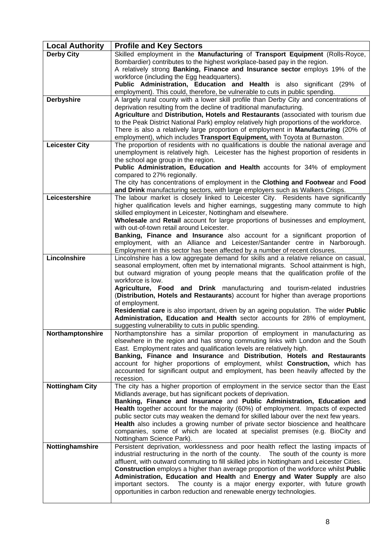| <b>Local Authority</b> | <b>Profile and Key Sectors</b>                                                                                                                                                    |
|------------------------|-----------------------------------------------------------------------------------------------------------------------------------------------------------------------------------|
| <b>Derby City</b>      | Skilled employment in the Manufacturing of Transport Equipment (Rolls-Royce,                                                                                                      |
|                        | Bombardier) contributes to the highest workplace-based pay in the region.                                                                                                         |
|                        | A relatively strong <b>Banking, Finance and Insurance sector</b> employs 19% of the                                                                                               |
|                        | workforce (including the Egg headquarters).<br><b>Public Administration, Education and Health</b> is also significant (29% of                                                     |
|                        | employment). This could, therefore, be vulnerable to cuts in public spending.                                                                                                     |
| <b>Derbyshire</b>      | A largely rural county with a lower skill profile than Derby City and concentrations of                                                                                           |
|                        | deprivation resulting from the decline of traditional manufacturing.                                                                                                              |
|                        | Agriculture and Distribution, Hotels and Restaurants (associated with tourism due                                                                                                 |
|                        | to the Peak District National Park) employ relatively high proportions of the workforce.<br>There is also a relatively large proportion of employment in Manufacturing (20% of    |
|                        | employment), which includes Transport Equipment, with Toyota at Burnaston.                                                                                                        |
| <b>Leicester City</b>  | The proportion of residents with no qualifications is double the national average and                                                                                             |
|                        | unemployment is relatively high. Leicester has the highest proportion of residents in                                                                                             |
|                        | the school age group in the region.                                                                                                                                               |
|                        | Public Administration, Education and Health accounts for 34% of employment<br>compared to 27% regionally.                                                                         |
|                        | The city has concentrations of employment in the Clothing and Footwear and Food                                                                                                   |
|                        | and Drink manufacturing sectors, with large employers such as Walkers Crisps.                                                                                                     |
| Leicestershire         | The labour market is closely linked to Leicester City. Residents have significantly                                                                                               |
|                        | higher qualification levels and higher earnings, suggesting many commute to high                                                                                                  |
|                        | skilled employment in Leicester, Nottingham and elsewhere.<br>Wholesale and Retail account for large proportions of businesses and employment,                                    |
|                        | with out-of-town retail around Leicester.                                                                                                                                         |
|                        | <b>Banking, Finance and Insurance</b> also account for a significant proportion of                                                                                                |
|                        | employment, with an Alliance and Leicester/Santander centre in Narborough.                                                                                                        |
| Lincolnshire           | Employment in this sector has been affected by a number of recent closures.                                                                                                       |
|                        | Lincolnshire has a low aggregate demand for skills and a relative reliance on casual,<br>seasonal employment, often met by international migrants. School attainment is high,     |
|                        | but outward migration of young people means that the qualification profile of the                                                                                                 |
|                        | workforce is low.                                                                                                                                                                 |
|                        | Agriculture, Food and Drink manufacturing and tourism-related industries                                                                                                          |
|                        | (Distribution, Hotels and Restaurants) account for higher than average proportions<br>of employment.                                                                              |
|                        | Residential care is also important, driven by an ageing population. The wider Public                                                                                              |
|                        | Administration, Education and Health sector accounts for 28% of employment,                                                                                                       |
|                        | suggesting vulnerability to cuts in public spending.                                                                                                                              |
| Northamptonshire       | Northamptonshire has a similar proportion of employment in manufacturing as                                                                                                       |
|                        | elsewhere in the region and has strong commuting links with London and the South<br>East. Employment rates and qualification levels are relatively high.                          |
|                        | Banking, Finance and Insurance and Distribution, Hotels and Restaurants                                                                                                           |
|                        | account for higher proportions of employment, whilst Construction, which has                                                                                                      |
|                        | accounted for significant output and employment, has been heavily affected by the                                                                                                 |
| <b>Nottingham City</b> | recession.<br>The city has a higher proportion of employment in the service sector than the East                                                                                  |
|                        | Midlands average, but has significant pockets of deprivation.                                                                                                                     |
|                        | Banking, Finance and Insurance and Public Administration, Education and                                                                                                           |
|                        | Health together account for the majority (60%) of employment. Impacts of expected                                                                                                 |
|                        | public sector cuts may weaken the demand for skilled labour over the next few years.                                                                                              |
|                        | Health also includes a growing number of private sector bioscience and healthcare<br>companies, some of which are located at specialist premises (e.g. BioCity and                |
|                        | Nottingham Science Park).                                                                                                                                                         |
| Nottinghamshire        | Persistent deprivation, worklessness and poor health reflect the lasting impacts of                                                                                               |
|                        | industrial restructuring in the north of the county. The south of the county is more                                                                                              |
|                        | affluent, with outward commuting to fill skilled jobs in Nottingham and Leicester Cities.<br>Construction employs a higher than average proportion of the workforce whilst Public |
|                        | Administration, Education and Health and Energy and Water Supply are also                                                                                                         |
|                        | important sectors. The county is a major energy exporter, with future growth                                                                                                      |
|                        | opportunities in carbon reduction and renewable energy technologies.                                                                                                              |
|                        |                                                                                                                                                                                   |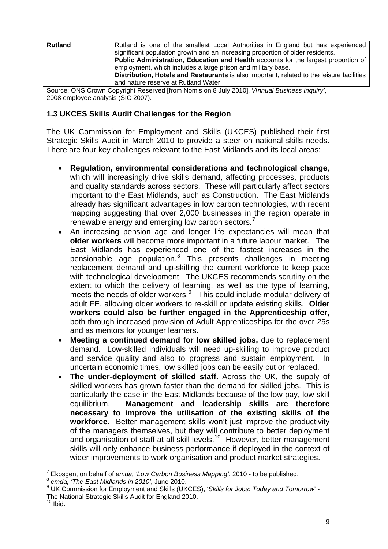| <b>Rutland</b> | Rutland is one of the smallest Local Authorities in England but has experienced           |
|----------------|-------------------------------------------------------------------------------------------|
|                | significant population growth and an increasing proportion of older residents.            |
|                | Public Administration, Education and Health accounts for the largest proportion of        |
|                | employment, which includes a large prison and military base.                              |
|                | Distribution, Hotels and Restaurants is also important, related to the leisure facilities |
|                | and nature reserve at Rutland Water.                                                      |

Source: ONS Crown Copyright Reserved [from Nomis on 8 July 2010], '*Annual Business Inquiry'*, 2008 employee analysis (SIC 2007).

# **1.3 UKCES Skills Audit Challenges for the Region**

The UK Commission for Employment and Skills (UKCES) published their first Strategic Skills Audit in March 2010 to provide a steer on national skills needs. There are four key challenges relevant to the East Midlands and its local areas:

- **Regulation, environmental considerations and technological change**, which will increasingly drive skills demand, affecting processes, products and quality standards across sectors. These will particularly affect sectors important to the East Midlands, such as Construction. The East Midlands already has significant advantages in low carbon technologies, with recent mapping suggesting that over 2,000 businesses in the region operate in renewable energy and emerging low carbon sectors.<sup>[7](#page-9-0)</sup>
- An increasing pension age and longer life expectancies will mean that **older workers** will become more important in a future labour market. The East Midlands has experienced one of the fastest increases in the pensionable age population.<sup>[8](#page-9-1)</sup> This presents challenges in meeting replacement demand and up-skilling the current workforce to keep pace with technological development. The UKCES recommends scrutiny on the extent to which the delivery of learning, as well as the type of learning, meets the needs of older workers.<sup>[9](#page-9-2)</sup> This could include modular delivery of adult FE, allowing older workers to re-skill or update existing skills. **Older workers could also be further engaged in the Apprenticeship offer,** both through increased provision of Adult Apprenticeships for the over 25s and as mentors for younger learners.
- **Meeting a continued demand for low skilled jobs,** due to replacement demand. Low-skilled individuals will need up-skilling to improve product and service quality and also to progress and sustain employment. In uncertain economic times, low skilled jobs can be easily cut or replaced.
- **The under-deployment of skilled staff.** Across the UK, the supply of skilled workers has grown faster than the demand for skilled jobs. This is particularly the case in the East Midlands because of the low pay, low skill equilibrium. **Management and leadership skills are therefore necessary to improve the utilisation of the existing skills of the workforce**. Better management skills won't just improve the productivity of the managers themselves, but they will contribute to better deployment and organisation of staff at all skill levels.<sup>[10](#page-9-3)</sup> However, better management skills will only enhance business performance if deployed in the context of wider improvements to work organisation and product market strategies.

<span id="page-9-0"></span><sup>7</sup> <sup>7</sup> Ekosgen, on behalf of *emda, 'Low Carbon Business Mapping'*, 2010 - to be published.<br><sup>8</sup> *emda, 'The East Midlands in 2010'*, June 2010.

<span id="page-9-1"></span>

<span id="page-9-2"></span><sup>9</sup> UK Commission for Employment and Skills (UKCES), '*Skills for Jobs: Today and Tomorrow*' - The National Strategic Skills Audit for England 2010.

<span id="page-9-3"></span> $10$  Ibid.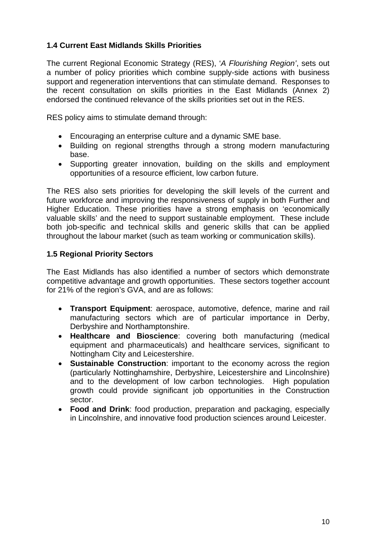# **1.4 Current East Midlands Skills Priorities**

The current Regional Economic Strategy (RES), '*A Flourishing Region'*, sets out a number of policy priorities which combine supply-side actions with business support and regeneration interventions that can stimulate demand. Responses to the recent consultation on skills priorities in the East Midlands (Annex 2) endorsed the continued relevance of the skills priorities set out in the RES.

RES policy aims to stimulate demand through:

- Encouraging an enterprise culture and a dynamic SME base.
- Building on regional strengths through a strong modern manufacturing base.
- Supporting greater innovation, building on the skills and employment opportunities of a resource efficient, low carbon future.

The RES also sets priorities for developing the skill levels of the current and future workforce and improving the responsiveness of supply in both Further and Higher Education. These priorities have a strong emphasis on 'economically valuable skills' and the need to support sustainable employment. These include both job-specific and technical skills and generic skills that can be applied throughout the labour market (such as team working or communication skills).

## **1.5 Regional Priority Sectors**

The East Midlands has also identified a number of sectors which demonstrate competitive advantage and growth opportunities. These sectors together account for 21% of the region's GVA, and are as follows:

- **Transport Equipment**: aerospace, automotive, defence, marine and rail manufacturing sectors which are of particular importance in Derby, Derbyshire and Northamptonshire.
- **Healthcare and Bioscience**: covering both manufacturing (medical equipment and pharmaceuticals) and healthcare services, significant to Nottingham City and Leicestershire.
- **Sustainable Construction**: important to the economy across the region (particularly Nottinghamshire, Derbyshire, Leicestershire and Lincolnshire) and to the development of low carbon technologies. High population growth could provide significant job opportunities in the Construction sector.
- **Food and Drink**: food production, preparation and packaging, especially in Lincolnshire, and innovative food production sciences around Leicester.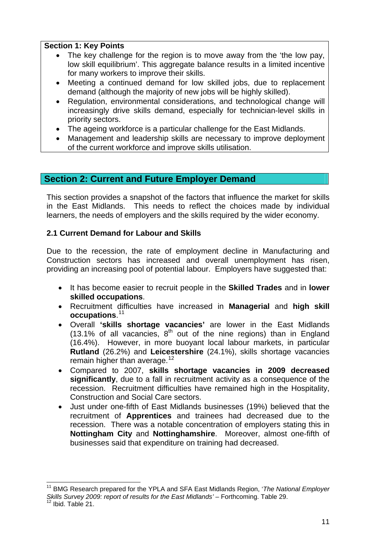# **Section 1: Key Points**

- The key challenge for the region is to move away from the 'the low pay, low skill equilibrium'. This aggregate balance results in a limited incentive for many workers to improve their skills.
- Meeting a continued demand for low skilled jobs, due to replacement demand (although the majority of new jobs will be highly skilled).
- Regulation, environmental considerations, and technological change will increasingly drive skills demand, especially for technician-level skills in priority sectors.
- The ageing workforce is a particular challenge for the East Midlands.
- Management and leadership skills are necessary to improve deployment of the current workforce and improve skills utilisation.

# **Section 2: Current and Future Employer Demand**

This section provides a snapshot of the factors that influence the market for skills in the East Midlands. This needs to reflect the choices made by individual learners, the needs of employers and the skills required by the wider economy.

# **2.1 Current Demand for Labour and Skills**

Due to the recession, the rate of employment decline in Manufacturing and Construction sectors has increased and overall unemployment has risen, providing an increasing pool of potential labour. Employers have suggested that:

- It has become easier to recruit people in the **Skilled Trades** and in **lower skilled occupations**.
- Recruitment difficulties have increased in **Managerial** and **high skill occupations**. [11](#page-11-0)
- Overall **'skills shortage vacancies'** are lower in the East Midlands  $(13.1\%$  of all vacancies,  $8<sup>th</sup>$  out of the nine regions) than in England (16.4%). However, in more buoyant local labour markets, in particular **Rutland** (26.2%) and **Leicestershire** (24.1%), skills shortage vacancies remain higher than average.<sup>[12](#page-11-1)</sup>
- Compared to 2007, **skills shortage vacancies in 2009 decreased significantly**, due to a fall in recruitment activity as a consequence of the recession. Recruitment difficulties have remained high in the Hospitality, Construction and Social Care sectors.
- Just under one-fifth of East Midlands businesses (19%) believed that the recruitment of **Apprentices** and trainees had decreased due to the recession. There was a notable concentration of employers stating this in **Nottingham City** and **Nottinghamshire**. Moreover, almost one-fifth of businesses said that expenditure on training had decreased.

<span id="page-11-1"></span><span id="page-11-0"></span> $\overline{\phantom{a}}$ 11 BMG Research prepared for the YPLA and SFA East Midlands Region, '*The National Employer Skills Survey 2009: report of results for the East Midlands'* – Forthcoming. Table 29.<br><sup>12</sup> Ibid. Table 21.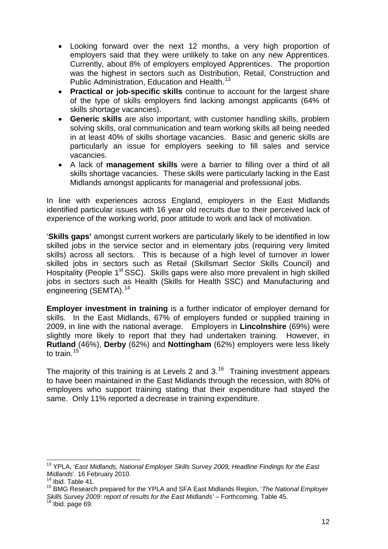- Looking forward over the next 12 months, a very high proportion of employers said that they were unlikely to take on any new Apprentices. Currently, about 8% of employers employed Apprentices. The proportion was the highest in sectors such as Distribution, Retail, Construction and Public Administration, Education and Health.<sup>[13](#page-12-0)</sup>
- **Practical or job-specific skills** continue to account for the largest share of the type of skills employers find lacking amongst applicants (64% of skills shortage vacancies).
- **Generic skills** are also important, with customer handling skills, problem solving skills, oral communication and team working skills all being needed in at least 40% of skills shortage vacancies. Basic and generic skills are particularly an issue for employers seeking to fill sales and service vacancies.
- A lack of **management skills** were a barrier to filling over a third of all skills shortage vacancies. These skills were particularly lacking in the East Midlands amongst applicants for managerial and professional jobs.

In line with experiences across England, employers in the East Midlands identified particular issues with 16 year old recruits due to their perceived lack of experience of the working world, poor attitude to work and lack of motivation.

'**Skills gaps'** amongst current workers are particularly likely to be identified in low skilled jobs in the service sector and in elementary jobs (requiring very limited skills) across all sectors. This is because of a high level of turnover in lower skilled jobs in sectors such as Retail (Skillsmart Sector Skills Council) and Hospitality (People 1<sup>st</sup> SSC). Skills gaps were also more prevalent in high skilled iobs in sectors such as Health (Skills for Health SSC) and Manufacturing and engineering (SEMTA).<sup>[14](#page-12-1)</sup>

**Employer investment in training** is a further indicator of employer demand for skills. In the East Midlands, 67% of employers funded or supplied training in 2009, in line with the national average. Employers in **Lincolnshire** (69%) were slightly more likely to report that they had undertaken training. However, in **Rutland** (46%), **Derby** (62%) and **Nottingham** (62%) employers were less likely to train.<sup>[15](#page-12-2)</sup>

The majority of this training is at Levels 2 and  $3<sup>16</sup>$  $3<sup>16</sup>$  $3<sup>16</sup>$  Training investment appears to have been maintained in the East Midlands through the recession, with 80% of employers who support training stating that their expenditure had stayed the same. Only 11% reported a decrease in training expenditure.

<span id="page-12-0"></span> 13 YPLA, '*East Midlands, National Employer Skills Survey 2009, Headline Findings for the East Midlands*'. 16 February 2010. 14 Ibid. Table 41.

<span id="page-12-1"></span>

<span id="page-12-2"></span><sup>15</sup> BMG Research prepared for the YPLA and SFA East Midlands Region, '*The National Employer Skills Survey 2009: report of results for the East Midlands'* – Forthcoming. Table 45.<br><sup>16</sup> Ibid. page 69.

<span id="page-12-3"></span>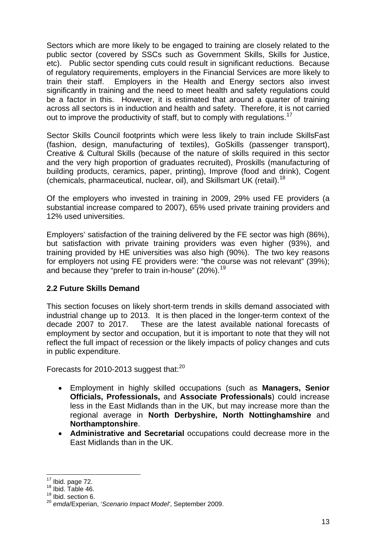Sectors which are more likely to be engaged to training are closely related to the public sector (covered by SSCs such as Government Skills, Skills for Justice, etc). Public sector spending cuts could result in significant reductions. Because of regulatory requirements, employers in the Financial Services are more likely to train their staff. Employers in the Health and Energy sectors also invest significantly in training and the need to meet health and safety regulations could be a factor in this. However, it is estimated that around a quarter of training across all sectors is in induction and health and safety. Therefore, it is not carried out to improve the productivity of staff, but to comply with regulations.<sup>[17](#page-13-0)</sup>

Sector Skills Council footprints which were less likely to train include SkillsFast (fashion, design, manufacturing of textiles), GoSkills (passenger transport), Creative & Cultural Skills (because of the nature of skills required in this sector and the very high proportion of graduates recruited), Proskills (manufacturing of building products, ceramics, paper, printing), Improve (food and drink), Cogent (chemicals, pharmaceutical, nuclear, oil), and Skillsmart UK (retail).[18](#page-13-1)

Of the employers who invested in training in 2009, 29% used FE providers (a substantial increase compared to 2007), 65% used private training providers and 12% used universities.

Employers' satisfaction of the training delivered by the FE sector was high (86%), but satisfaction with private training providers was even higher (93%), and training provided by HE universities was also high (90%). The two key reasons for employers not using FE providers were: "the course was not relevant" (39%); and because they "prefer to train in-house" (20%).<sup>[19](#page-13-2)</sup>

# **2.2 Future Skills Demand**

This section focuses on likely short-term trends in skills demand associated with industrial change up to 2013. It is then placed in the longer-term context of the decade 2007 to 2017. These are the latest available national forecasts of employment by sector and occupation, but it is important to note that they will not reflect the full impact of recession or the likely impacts of policy changes and cuts in public expenditure.

Forecasts for [20](#page-13-3)10-2013 suggest that: $20$ 

- Employment in highly skilled occupations (such as **Managers, Senior Officials, Professionals,** and **Associate Professionals**) could increase less in the East Midlands than in the UK, but may increase more than the regional average in **North Derbyshire, North Nottinghamshire** and **Northamptonshire**.
- **Administrative and Secretarial** occupations could decrease more in the East Midlands than in the UK.

 $\overline{a}$ 

<span id="page-13-1"></span><span id="page-13-0"></span> $^{17}$  Ibid. page 72.<br> $^{18}$  Ibid. Table 46.  $18$  Ibid. Table 46.<br> $19$  Ibid. section 6.

<span id="page-13-3"></span><span id="page-13-2"></span><sup>20</sup> *emda*/Experian, '*Scenario Impact Model'*, September 2009.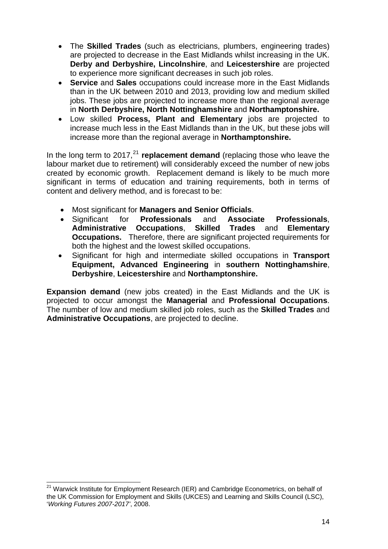- The **Skilled Trades** (such as electricians, plumbers, engineering trades) are projected to decrease in the East Midlands whilst increasing in the UK. **Derby and Derbyshire, Lincolnshire**, and **Leicestershire** are projected to experience more significant decreases in such job roles.
- **Service** and **Sales** occupations could increase more in the East Midlands than in the UK between 2010 and 2013, providing low and medium skilled jobs. These jobs are projected to increase more than the regional average in **North Derbyshire, North Nottinghamshire** and **Northamptonshire.**
- Low skilled **Process, Plant and Elementary** jobs are projected to increase much less in the East Midlands than in the UK, but these jobs will increase more than the regional average in **Northamptonshire.**

In the long term to 2017,<sup>[21](#page-14-0)</sup> replacement demand (replacing those who leave the labour market due to retirement) will considerably exceed the number of new jobs created by economic growth. Replacement demand is likely to be much more significant in terms of education and training requirements, both in terms of content and delivery method, and is forecast to be:

- Most significant for **Managers and Senior Officials**.
- Significant for **Professionals** and **Associate Professionals**, **Administrative Occupations**, **Skilled Trades** and **Elementary Occupations.** Therefore, there are significant projected requirements for both the highest and the lowest skilled occupations.
- Significant for high and intermediate skilled occupations in **Transport Equipment, Advanced Engineering** in **southern Nottinghamshire**, **Derbyshire**, **Leicestershire** and **Northamptonshire.**

**Expansion demand** (new jobs created) in the East Midlands and the UK is projected to occur amongst the **Managerial** and **Professional Occupations**. The number of low and medium skilled job roles, such as the **Skilled Trades** and **Administrative Occupations**, are projected to decline.

<span id="page-14-0"></span> $\overline{\phantom{a}}$ <sup>21</sup> Warwick Institute for Employment Research (IER) and Cambridge Econometrics, on behalf of the UK Commission for Employment and Skills (UKCES) and Learning and Skills Council (LSC), '*Working Futures 2007-2017'*, 2008.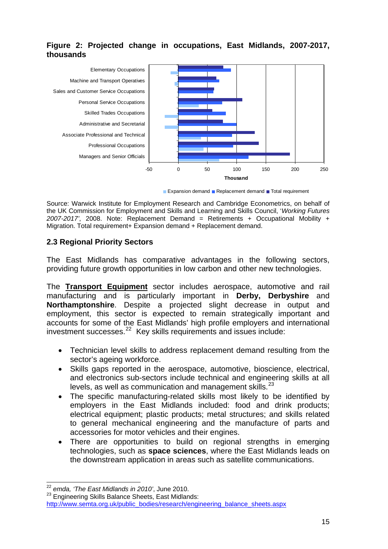# **Figure 2: Projected change in occupations, East Midlands, 2007-2017, thousands**



Expansion demand Replacement demand Total requirement

Source: Warwick Institute for Employment Research and Cambridge Econometrics, on behalf of the UK Commission for Employment and Skills and Learning and Skills Council, '*Working Futures 2007-2017'*, 2008. Note: Replacement Demand = Retirements + Occupational Mobility + Migration. Total requirement+ Expansion demand + Replacement demand.

# **2.3 Regional Priority Sectors**

The East Midlands has comparative advantages in the following sectors, providing future growth opportunities in low carbon and other new technologies.

The **Transport Equipment** sector includes aerospace, automotive and rail manufacturing and is particularly important in **Derby, Derbyshire** and **Northamptonshire**. Despite a projected slight decrease in output and employment, this sector is expected to remain strategically important and accounts for some of the East Midlands' high profile employers and international investment successes. $^{22}$  $^{22}$  $^{22}$  Key skills requirements and issues include:

- Technician level skills to address replacement demand resulting from the sector's ageing workforce.
- Skills gaps reported in the aerospace, automotive, bioscience, electrical, and electronics sub-sectors include technical and engineering skills at all levels, as well as communication and management skills. $^{23}$  $^{23}$  $^{23}$
- The specific manufacturing-related skills most likely to be identified by employers in the East Midlands included: food and drink products; electrical equipment; plastic products; metal structures; and skills related to general mechanical engineering and the manufacture of parts and accessories for motor vehicles and their engines.
- There are opportunities to build on regional strengths in emerging technologies, such as **space sciences**, where the East Midlands leads on the downstream application in areas such as satellite communications.

 $\overline{\phantom{a}}$ <sup>22</sup> *emda, 'The East Midlands in 2010'*, June 2010.

<span id="page-15-1"></span><span id="page-15-0"></span><sup>&</sup>lt;sup>23</sup> Engineering Skills Balance Sheets, East Midlands: [http://www.semta.org.uk/public\\_bodies/research/engineering\\_balance\\_sheets.aspx](http://www.semta.org.uk/public_bodies/research/engineering_balance_sheets.aspx)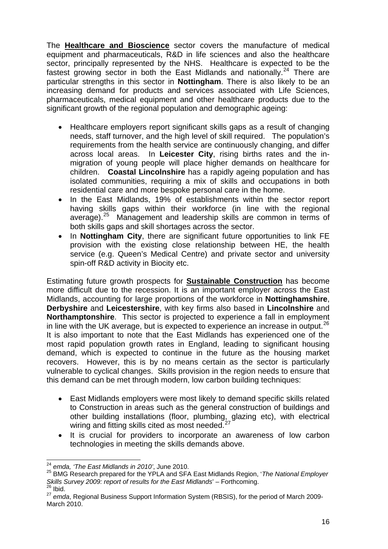The **Healthcare and Bioscience** sector covers the manufacture of medical equipment and pharmaceuticals. R&D in life sciences and also the healthcare sector, principally represented by the NHS. Healthcare is expected to be the fastest growing sector in both the East Midlands and nationally.<sup>[24](#page-16-0)</sup> There are particular strengths in this sector in **Nottingham**. There is also likely to be an increasing demand for products and services associated with Life Sciences, pharmaceuticals, medical equipment and other healthcare products due to the significant growth of the regional population and demographic ageing:

- Healthcare employers report significant skills gaps as a result of changing needs, staff turnover, and the high level of skill required. The population's requirements from the health service are continuously changing, and differ across local areas. In **Leicester City**, rising births rates and the inmigration of young people will place higher demands on healthcare for children. **Coastal Lincolnshire** has a rapidly ageing population and has isolated communities, requiring a mix of skills and occupations in both residential care and more bespoke personal care in the home.
- In the East Midlands, 19% of establishments within the sector report having skills gaps within their workforce (in line with the regional average).<sup>[25](#page-16-1)</sup> Management and leadership skills are common in terms of both skills gaps and skill shortages across the sector.
- In **Nottingham City**, there are significant future opportunities to link FE provision with the existing close relationship between HE, the health service (e.g. Queen's Medical Centre) and private sector and university spin-off R&D activity in Biocity etc.

Estimating future growth prospects for **Sustainable Construction** has become more difficult due to the recession. It is an important employer across the East Midlands, accounting for large proportions of the workforce in **Nottinghamshire**, **Derbyshire** and **Leicestershire**, with key firms also based in **Lincolnshire** and **Northamptonshire**. This sector is projected to experience a fall in employment in line with the UK average, but is expected to experience an increase in output.<sup>[26](#page-16-2)</sup> It is also important to note that the East Midlands has experienced one of the most rapid population growth rates in England, leading to significant housing demand, which is expected to continue in the future as the housing market recovers. However, this is by no means certain as the sector is particularly vulnerable to cyclical changes. Skills provision in the region needs to ensure that this demand can be met through modern, low carbon building techniques:

- East Midlands employers were most likely to demand specific skills related to Construction in areas such as the general construction of buildings and other building installations (floor, plumbing, glazing etc), with electrical wiring and fitting skills cited as most needed. $27$
- It is crucial for providers to incorporate an awareness of low carbon technologies in meeting the skills demands above.

<span id="page-16-2"></span>

 <sup>24</sup> *emda, 'The East Midlands in 2010'*, June 2010.

<span id="page-16-1"></span><span id="page-16-0"></span><sup>25</sup> BMG Research prepared for the YPLA and SFA East Midlands Region, '*The National Employer Skills Survey 2009: report of results for the East Midlands' – Forthcoming.* <sup>26</sup> Ibid.

<span id="page-16-3"></span><sup>27</sup> *emda*, Regional Business Support Information System (RBSIS), for the period of March 2009- March 2010.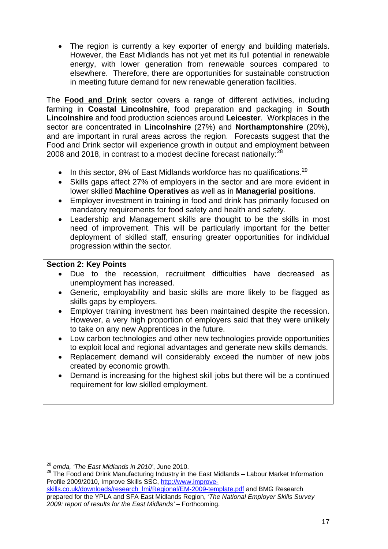The region is currently a key exporter of energy and building materials. However, the East Midlands has not yet met its full potential in renewable energy, with lower generation from renewable sources compared to elsewhere. Therefore, there are opportunities for sustainable construction in meeting future demand for new renewable generation facilities.

The **Food and Drink** sector covers a range of different activities, including farming in **Coastal Lincolnshire**, food preparation and packaging in **South Lincolnshire** and food production sciences around **Leicester**. Workplaces in the sector are concentrated in **Lincolnshire** (27%) and **Northamptonshire** (20%), and are important in rural areas across the region. Forecasts suggest that the Food and Drink sector will experience growth in output and employment between 2008 and 2018, in contrast to a modest decline forecast nationally:<sup>[28](#page-17-0)</sup>

- $\bullet$  In this sector, 8% of East Midlands workforce has no qualifications.<sup>[29](#page-17-1)</sup>
- Skills gaps affect 27% of employers in the sector and are more evident in lower skilled **Machine Operatives** as well as in **Managerial positions**.
- Employer investment in training in food and drink has primarily focused on mandatory requirements for food safety and health and safety.
- Leadership and Management skills are thought to be the skills in most need of improvement. This will be particularly important for the better deployment of skilled staff, ensuring greater opportunities for individual progression within the sector.

# **Section 2: Key Points**

- Due to the recession, recruitment difficulties have decreased as unemployment has increased.
- Generic, employability and basic skills are more likely to be flagged as skills gaps by employers.
- Employer training investment has been maintained despite the recession. However, a very high proportion of employers said that they were unlikely to take on any new Apprentices in the future.
- Low carbon technologies and other new technologies provide opportunities to exploit local and regional advantages and generate new skills demands.
- Replacement demand will considerably exceed the number of new jobs created by economic growth.
- Demand is increasing for the highest skill jobs but there will be a continued requirement for low skilled employment.

 <sup>28</sup> *emda, 'The East Midlands in 2010'*, June 2010.

<span id="page-17-1"></span><span id="page-17-0"></span><sup>&</sup>lt;sup>29</sup> The Food and Drink Manufacturing Industry in the East Midlands – Labour Market Information Profile 2009/2010, Improve Skills SSC, [http://www.improve-](http://www.improve-skills.co.uk/downloads/research_lmi/Regional/EM-2009-template.pdf)

[skills.co.uk/downloads/research\\_lmi/Regional/EM-2009-template.pdf](http://www.improve-skills.co.uk/downloads/research_lmi/Regional/EM-2009-template.pdf) and BMG Research prepared for the YPLA and SFA East Midlands Region, '*The National Employer Skills Survey 2009: report of results for the East Midlands'* – Forthcoming.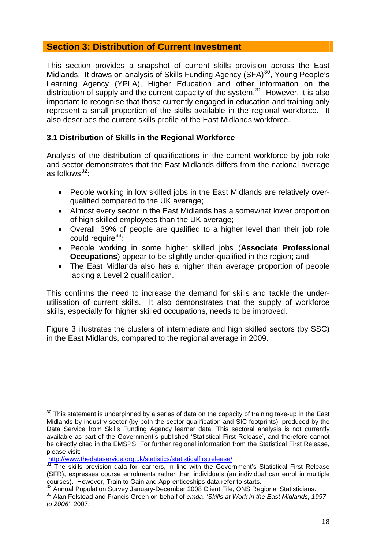# **Section 3: Distribution of Current Investment**

This section provides a snapshot of current skills provision across the East Midlands. It draws on analysis of Skills Funding Agency (SFA) $^{30}$  $^{30}$  $^{30}$ , Young People's Learning Agency (YPLA), Higher Education and other information on the distribution of supply and the current capacity of the system.<sup>[31](#page-18-1)</sup> However, it is also important to recognise that those currently engaged in education and training only represent a small proportion of the skills available in the regional workforce. It also describes the current skills profile of the East Midlands workforce.

# **3.1 Distribution of Skills in the Regional Workforce**

Analysis of the distribution of qualifications in the current workforce by job role and sector demonstrates that the East Midlands differs from the national average as follows $32$ :

- People working in low skilled jobs in the East Midlands are relatively overqualified compared to the UK average;
- Almost every sector in the East Midlands has a somewhat lower proportion of high skilled employees than the UK average;
- Overall, 39% of people are qualified to a higher level than their job role could require  $33$ ;
- People working in some higher skilled jobs (**Associate Professional Occupations**) appear to be slightly under-qualified in the region; and
- The East Midlands also has a higher than average proportion of people lacking a Level 2 qualification.

This confirms the need to increase the demand for skills and tackle the underutilisation of current skills. It also demonstrates that the supply of workforce skills, especially for higher skilled occupations, needs to be improved.

Figure 3 illustrates the clusters of intermediate and high skilled sectors (by SSC) in the East Midlands, compared to the regional average in 2009.

<http://www.thedataservice.org.uk/statistics/statisticalfirstrelease/>

<span id="page-18-0"></span> $\overline{a}$  $30$  This statement is underpinned by a series of data on the capacity of training take-up in the East Midlands by industry sector (by both the sector qualification and SIC footprints), produced by the Data Service from Skills Funding Agency learner data. This sectoral analysis is not currently available as part of the Government's published 'Statistical First Release', and therefore cannot be directly cited in the EMSPS. For further regional information from the Statistical First Release, please visit:

<span id="page-18-1"></span><sup>&</sup>lt;sup>31</sup> The skills provision data for learners, in line with the Government's Statistical First Release (SFR), expresses course enrolments rather than individuals (an individual can enrol in multiple courses). However, Train to Gain and Apprenticeships data refer to starts.<br><sup>32</sup> Annual Population Survey January-December 2008 Client File, ONS Regional Statisticians.

<span id="page-18-2"></span>

<span id="page-18-3"></span><sup>&</sup>lt;sup>33</sup> Alan Felstead and Francis Green on behalf of *emda*, 'Skills at Work in the East Midlands, 1997 *to 2006*' 2007.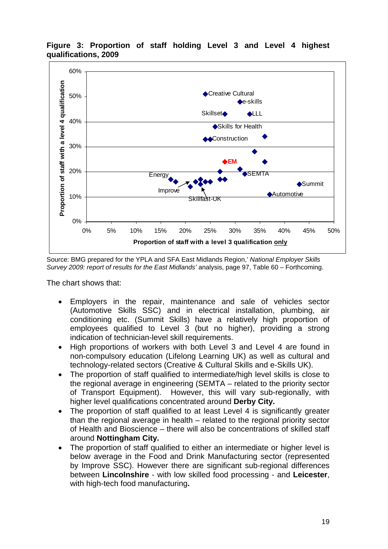

**Figure 3: Proportion of staff holding Level 3 and Level 4 highest qualifications, 2009** 

Source: BMG prepared for the YPLA and SFA East Midlands Region,' *National Employer Skills Survey 2009: report of results for the East Midlands'* analysis, page 97, Table 60 – Forthcoming.

The chart shows that:

- Employers in the repair, maintenance and sale of vehicles sector (Automotive Skills SSC) and in electrical installation, plumbing, air conditioning etc. (Summit Skills) have a relatively high proportion of employees qualified to Level 3 (but no higher), providing a strong indication of technician-level skill requirements.
- High proportions of workers with both Level 3 and Level 4 are found in non-compulsory education (Lifelong Learning UK) as well as cultural and technology-related sectors (Creative & Cultural Skills and e-Skills UK).
- The proportion of staff qualified to intermediate/high level skills is close to the regional average in engineering (SEMTA – related to the priority sector of Transport Equipment). However, this will vary sub-regionally, with higher level qualifications concentrated around **Derby City.**
- The proportion of staff qualified to at least Level 4 is significantly greater than the regional average in health – related to the regional priority sector of Health and Bioscience – there will also be concentrations of skilled staff around **Nottingham City.**
- The proportion of staff qualified to either an intermediate or higher level is below average in the Food and Drink Manufacturing sector (represented by Improve SSC). However there are significant sub-regional differences between **Lincolnshire** - with low skilled food processing - and **Leicester**, with high-tech food manufacturing**.**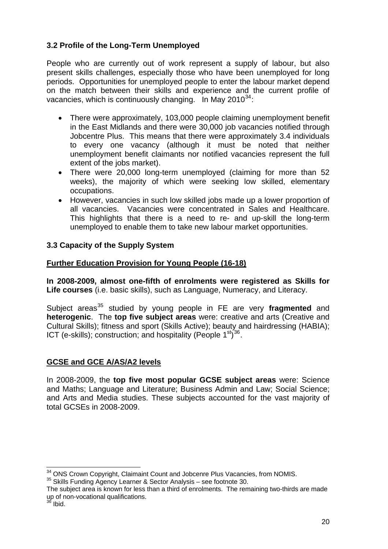# **3.2 Profile of the Long-Term Unemployed**

People who are currently out of work represent a supply of labour, but also present skills challenges, especially those who have been unemployed for long periods. Opportunities for unemployed people to enter the labour market depend on the match between their skills and experience and the current profile of vacancies, which is continuously changing. In May  $2010^{34}$  $2010^{34}$  $2010^{34}$ :

- There were approximately, 103,000 people claiming unemployment benefit in the East Midlands and there were 30,000 job vacancies notified through Jobcentre Plus. This means that there were approximately 3.4 individuals to every one vacancy (although it must be noted that neither unemployment benefit claimants nor notified vacancies represent the full extent of the jobs market).
- There were 20,000 long-term unemployed (claiming for more than 52 weeks), the majority of which were seeking low skilled, elementary occupations.
- However, vacancies in such low skilled jobs made up a lower proportion of all vacancies. Vacancies were concentrated in Sales and Healthcare. This highlights that there is a need to re- and up-skill the long-term unemployed to enable them to take new labour market opportunities.

# **3.3 Capacity of the Supply System**

# **Further Education Provision for Young People (16-18)**

**In 2008-2009, almost one-fifth of enrolments were registered as Skills for Life courses** (i.e. basic skills), such as Language, Numeracy, and Literacy.

Subject areas<sup>[35](#page-20-1)</sup> studied by young people in FE are very fragmented and **heterogenic**.The **top five subject areas** were: creative and arts (Creative and Cultural Skills); fitness and sport (Skills Active); beauty and hairdressing (HABIA); ICT (e-skills); construction; and hospitality (People  $1<sup>st</sup>$ )<sup>[36](#page-20-2)</sup>.

# **GCSE and GCE A/AS/A2 levels**

In 2008-2009, the **top five most popular GCSE subject areas** were: Science and Maths; Language and Literature; Business Admin and Law; Social Science; and Arts and Media studies. These subjects accounted for the vast majority of total GCSEs in 2008-2009.

<span id="page-20-0"></span><sup>&</sup>lt;sup>34</sup> ONS Crown Copyright, Claimaint Count and Jobcenre Plus Vacancies, from NOMIS.

<span id="page-20-1"></span><sup>35</sup> Skills Funding Agency Learner & Sector Analysis – see footnote 30.

<span id="page-20-2"></span>The subject area is known for less than a third of enrolments. The remaining two-thirds are made up of non-vocational qualifications.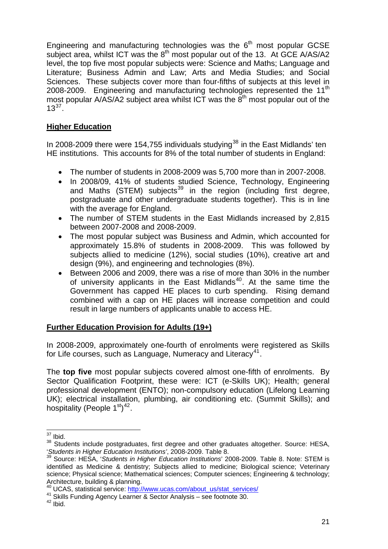Engineering and manufacturing technologies was the  $6<sup>th</sup>$  most popular GCSE subject area, whilst ICT was the 8th most popular out of the 13.At GCE A/AS/A2 level, the top five most popular subjects were: Science and Maths; Language and Literature; Business Admin and Law; Arts and Media Studies; and Social Sciences. These subjects cover more than four-fifths of subjects at this level in 2008-2009. Engineering and manufacturing technologies represented the  $11<sup>th</sup>$ most popular A/AS/A2 subject area whilst ICT was the  $8<sup>th</sup>$  most popular out of the  $13^{37}$  $13^{37}$  $13^{37}$ .

# **Higher Education**

In 2008-2009 there were 154,755 individuals studying<sup>[38](#page-21-1)</sup> in the East Midlands' ten HE institutions. This accounts for 8% of the total number of students in England:

- The number of students in 2008-2009 was 5,700 more than in 2007-2008.
- In 2008/09, 41% of students studied Science, Technology, Engineering and Maths (STEM) subjects<sup>[39](#page-21-2)</sup> in the region (including first degree, postgraduate and other undergraduate students together). This is in line with the average for England.
- The number of STEM students in the East Midlands increased by 2,815 between 2007-2008 and 2008-2009.
- The most popular subject was Business and Admin, which accounted for approximately 15.8% of students in 2008-2009. This was followed by subjects allied to medicine (12%), social studies (10%), creative art and design (9%), and engineering and technologies (8%).
- Between 2006 and 2009, there was a rise of more than 30% in the number of university applicants in the East Midlands<sup>[40](#page-21-3)</sup>. At the same time the Government has capped HE places to curb spending. Rising demand combined with a cap on HE places will increase competition and could result in large numbers of applicants unable to access HE.

# **Further Education Provision for Adults (19+)**

In 2008-2009, approximately one-fourth of enrolments were registered as Skills for Life courses, such as Language, Numeracy and Literacy<sup>[41](#page-21-4)</sup>.

The **top five** most popular subjects covered almost one-fifth of enrolments. By Sector Qualification Footprint, these were: ICT (e-Skills UK); Health; general professional development (ENTO); non-compulsory education (Lifelong Learning UK); electrical installation, plumbing, air conditioning etc. (Summit Skills); and hospitality (People  $1<sup>st</sup>$ <sup>[42](#page-21-5)</sup>.

 $\overline{a}$  $37$  Ibid.

<span id="page-21-1"></span><span id="page-21-0"></span><sup>&</sup>lt;sup>38</sup> Students include postgraduates, first degree and other graduates altogether. Source: HESA, '*Students in Higher Education Institutions'*, 2008-2009. Table 8.

<span id="page-21-2"></span><sup>39</sup> Source: HESA, '*Students in Higher Education Institutions*' 2008-2009. Table 8. Note: STEM is identified as Medicine & dentistry; Subjects allied to medicine; Biological science; Veterinary science; Physical science; Mathematical sciences; Computer sciences; Engineering & technology; Architecture, building & planning.<br><sup>40</sup> UCAS. statistical service: http://www.ucas.com/about\_us/stat\_services/

<span id="page-21-5"></span><span id="page-21-4"></span><span id="page-21-3"></span><sup>41</sup> Skills Funding Agency Learner & Sector Analysis – see footnote 30.<br><sup>42</sup> Ibid.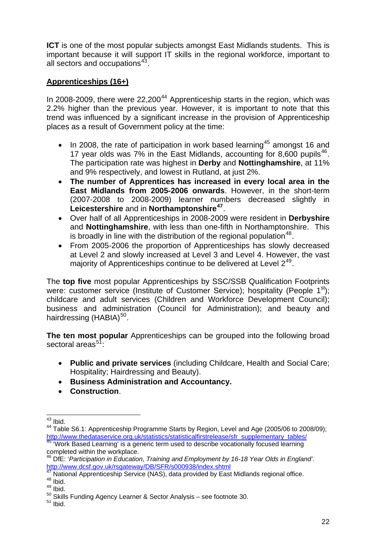**ICT** is one of the most popular subjects amongst East Midlands students. This is important because it will support IT skills in the regional workforce, important to all sectors and occupations<sup>[43](#page-22-0)</sup>.

# **Apprenticeships (16+)**

In 2008-2009, there were  $22,200^{44}$  $22,200^{44}$  $22,200^{44}$  Apprenticeship starts in the region, which was 2.2% higher than the previous year. However, it is important to note that this trend was influenced by a significant increase in the provision of Apprenticeship places as a result of Government policy at the time:

- In 2008, the rate of participation in work based learning<sup>[45](#page-22-2)</sup> amongst 16 and 17 year olds was  $7\%$  in the East Midlands, accounting for 8,600 pupils<sup>[46](#page-22-3)</sup>. The participation rate was highest in **Derby** and **Nottinghamshire**, at 11% and 9% respectively, and lowest in Rutland, at just 2%.
- **The number of Apprentices has increased in every local area in the East Midlands from 2005-2006 onwards**. However, in the short-term (2007-2008 to 2008-2009) learner numbers decreased slightly in **Leicestershire** and in **Northamptonshire[47](#page-22-4)**.
- Over half of all Apprenticeships in 2008-2009 were resident in **Derbyshire**  and **Nottinghamshire**, with less than one-fifth in Northamptonshire. This is broadly in line with the distribution of the regional population  $48$ .
- From 2005-2006 the proportion of Apprenticeships has slowly decreased at Level 2 and slowly increased at Level 3 and Level 4. However, the vast majority of Apprenticeships continue to be delivered at Level  $2^{49}$  $2^{49}$  $2^{49}$ .

The **top five** most popular Apprenticeships by SSC/SSB Qualification Footprints were: customer service (Institute of Customer Service); hospitality (People  $1^{st}$ ); childcare and adult services (Children and Workforce Development Council); business and administration (Council for Administration); and beauty and hairdressing  $(HABIA)^{50}$  $(HABIA)^{50}$  $(HABIA)^{50}$ .

**The ten most popular** Apprenticeships can be grouped into the following broad sectoral areas<sup>[51](#page-22-8)</sup>:

- **Public and private services** (including Childcare, Health and Social Care; Hospitality; Hairdressing and Beauty).
- **Business Administration and Accountancy.**
- **Construction**.

  $43$  Ibid.

<span id="page-22-1"></span><span id="page-22-0"></span><sup>44</sup> Table S6.1: Apprenticeship Programme Starts by Region, Level and Age (2005/06 to 2008/09); [http://www.thedataservice.org.uk/statistics/statisticalfirstrelease/sfr\\_supplementary\\_tables/ 45 'Work Based Learning' is a generic term used to describe vocationally focused learning](http://www.thedataservice.org.uk/statistics/statisticalfirstrelease/sfr_supplementary_tables/) 

<span id="page-22-2"></span>completed within the workplace.

<span id="page-22-3"></span><sup>46</sup> DfE: '*Participation in Education, Training and Employment by 16-18 Year Olds in England'*. <http://www.dcsf.gov.uk/rsgateway/DB/SFR/s000938/index.shtml>

<span id="page-22-4"></span> $47$  National Apprenticeship Service (NAS), data provided by East Midlands regional office.<br> $48$  Ibid.

<span id="page-22-6"></span><span id="page-22-5"></span> $49$  Ibid.

<span id="page-22-8"></span><span id="page-22-7"></span> $50$  Skills Funding Agency Learner & Sector Analysis – see footnote 30.<br> $51$  Ibid.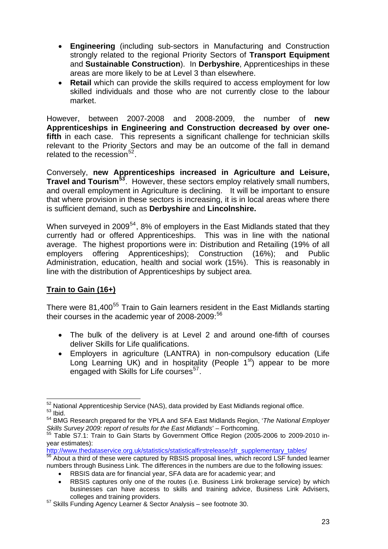- **Engineering** (including sub-sectors in Manufacturing and Construction strongly related to the regional Priority Sectors of **Transport Equipment** and **Sustainable Construction**). In **Derbyshire**, Apprenticeships in these areas are more likely to be at Level 3 than elsewhere.
- **Retail** which can provide the skills required to access employment for low skilled individuals and those who are not currently close to the labour market.

However, between 2007-2008 and 2008-2009, the number of **new Apprenticeships in Engineering and Construction decreased by over onefifth** in each case. This represents a significant challenge for technician skills relevant to the Priority Sectors and may be an outcome of the fall in demand related to the recession  $52$ .

Conversely, **new Apprenticeships increased in Agriculture and Leisure, Travel and Tourism[53](#page-23-1)**. However, these sectors employ relatively small numbers, and overall employment in Agriculture is declining. It will be important to ensure that where provision in these sectors is increasing, it is in local areas where there is sufficient demand, such as **Derbyshire** and **Lincolnshire.**

When surveyed in 2009 $^{54}$  $^{54}$  $^{54}$ , 8% of employers in the East Midlands stated that they currently had or offered Apprenticeships. This was in line with the national average. The highest proportions were in: Distribution and Retailing (19% of all employers offering Apprenticeships); Construction (16%); and Public Administration, education, health and social work (15%). This is reasonably in line with the distribution of Apprenticeships by subject area.

# **Train to Gain (16+)**

There were 81,400<sup>[55](#page-23-3)</sup> Train to Gain learners resident in the East Midlands starting their courses in the academic year of  $2008-2009$ :  $56$ 

- The bulk of the delivery is at Level 2 and around one-fifth of courses deliver Skills for Life qualifications.
- Employers in agriculture (LANTRA) in non-compulsory education (Life Long Learning UK) and in hospitality (People  $1<sup>st</sup>$ ) appear to be more engaged with Skills for Life courses<sup>[57](#page-23-5)</sup>.

[http://www.thedataservice.org.uk/statistics/statisticalfirstrelease/sfr\\_supplementary\\_tables/](http://www.thedataservice.org.uk/statistics/statisticalfirstrelease/sfr_supplementary_tables/)<br><sup>56</sup> About a third of these were captured by RBSIS proposal lines, which record LSF funded learner

<span id="page-23-0"></span>  $^{52}$  National Apprenticeship Service (NAS), data provided by East Midlands regional office.<br> $^{53}$  Ibid. 54 BMG Research prepared for the YPLA and SFA East Midlands Region, '*The National Employer* 

<span id="page-23-2"></span><span id="page-23-1"></span>*Skills Survey 2009: report of results for the East Midlands*' – Forthcoming. 55 Table S7.1: Train to Gain Starts by Government Office Region (2005-2006 to 2009-2010 in-

<span id="page-23-3"></span>year estimates):

<span id="page-23-4"></span>numbers through Business Link. The differences in the numbers are due to the following issues:

RBSIS data are for financial year, SFA data are for academic year; and

RBSIS captures only one of the routes (i.e. Business Link brokerage service) by which businesses can have access to skills and training advice, Business Link Advisers,

<span id="page-23-5"></span>colleges and training providers.<br><sup>57</sup> Skills Funding Agency Learner & Sector Analysis – see footnote 30.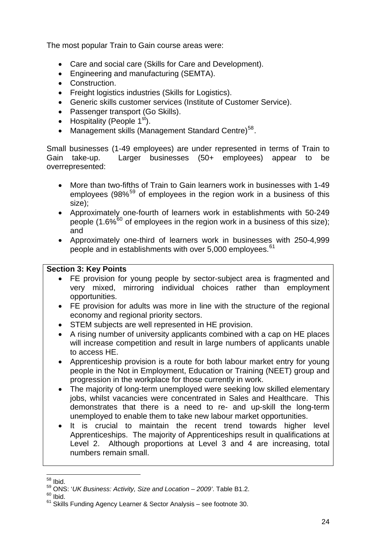The most popular Train to Gain course areas were:

- Care and social care (Skills for Care and Development).
- Engineering and manufacturing (SEMTA).
- Construction.
- Freight logistics industries (Skills for Logistics).
- Generic skills customer services (Institute of Customer Service).
- Passenger transport (Go Skills).
- Hospitality (People  $1<sup>st</sup>$ ).
- Management skills (Management Standard Centre)<sup>[58](#page-24-0)</sup>.

Small businesses (1-49 employees) are under represented in terms of Train to Gain take-up. Larger businesses (50+ employees) appear to be overrepresented:

- More than two-fifths of Train to Gain learners work in businesses with 1-49 employees (98%<sup>[59](#page-24-1)</sup> of employees in the region work in a business of this size);
- Approximately one-fourth of learners work in establishments with 50-249 people (1.6% $^{60}$  $^{60}$  $^{60}$  of employees in the region work in a business of this size); and
- Approximately one-third of learners work in businesses with 250-4,999 people and in establishments with over 5,000 employees.<sup>[61](#page-24-3)</sup>

## **Section 3: Key Points**

- FE provision for young people by sector-subject area is fragmented and very mixed, mirroring individual choices rather than employment opportunities.
- FE provision for adults was more in line with the structure of the regional economy and regional priority sectors.
- STEM subjects are well represented in HE provision.
- A rising number of university applicants combined with a cap on HE places will increase competition and result in large numbers of applicants unable to access HE.
- Apprenticeship provision is a route for both labour market entry for young people in the Not in Employment, Education or Training (NEET) group and progression in the workplace for those currently in work.
- The majority of long-term unemployed were seeking low skilled elementary jobs, whilst vacancies were concentrated in Sales and Healthcare. This demonstrates that there is a need to re- and up-skill the long-term unemployed to enable them to take new labour market opportunities.
- It is crucial to maintain the recent trend towards higher level Apprenticeships. The majority of Apprenticeships result in qualifications at Level 2. Although proportions at Level 3 and 4 are increasing, total numbers remain small.

 $\overline{a}$  $58$  Ibid.

<span id="page-24-1"></span><span id="page-24-0"></span><sup>59</sup> ONS: '*UK Business: Activity, Size and Location – 2009'*. Table B1.2.

<span id="page-24-2"></span> $60$  Ibid.

<span id="page-24-3"></span> $61$  Skills Funding Agency Learner & Sector Analysis – see footnote 30.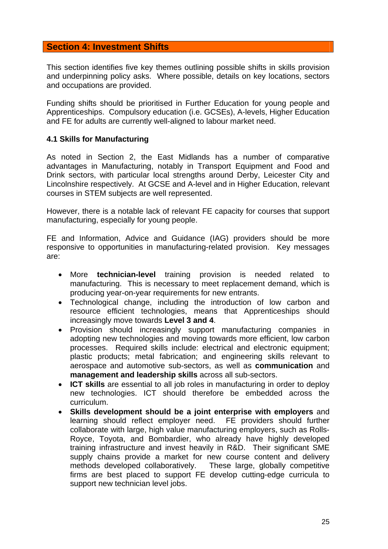## **Section 4: Investment Shifts**

This section identifies five key themes outlining possible shifts in skills provision and underpinning policy asks. Where possible, details on key locations, sectors and occupations are provided.

Funding shifts should be prioritised in Further Education for young people and Apprenticeships. Compulsory education (i.e. GCSEs), A-levels, Higher Education and FE for adults are currently well-aligned to labour market need.

#### **4.1 Skills for Manufacturing**

As noted in Section 2, the East Midlands has a number of comparative advantages in Manufacturing, notably in Transport Equipment and Food and Drink sectors, with particular local strengths around Derby, Leicester City and Lincolnshire respectively. At GCSE and A-level and in Higher Education, relevant courses in STEM subjects are well represented.

However, there is a notable lack of relevant FE capacity for courses that support manufacturing, especially for young people.

FE and Information, Advice and Guidance (IAG) providers should be more responsive to opportunities in manufacturing-related provision. Key messages are:

- More **technician-level** training provision is needed related to manufacturing. This is necessary to meet replacement demand, which is producing year-on-year requirements for new entrants.
- Technological change, including the introduction of low carbon and resource efficient technologies, means that Apprenticeships should increasingly move towards **Level 3 and 4**.
- Provision should increasingly support manufacturing companies in adopting new technologies and moving towards more efficient, low carbon processes. Required skills include: electrical and electronic equipment; plastic products; metal fabrication; and engineering skills relevant to aerospace and automotive sub-sectors, as well as **communication** and **management and leadership skills** across all sub-sectors.
- **ICT skills** are essential to all job roles in manufacturing in order to deploy new technologies. ICT should therefore be embedded across the curriculum.
- **Skills development should be a joint enterprise with employers** and learning should reflect employer need. FE providers should further collaborate with large, high value manufacturing employers, such as Rolls-Royce, Toyota, and Bombardier, who already have highly developed training infrastructure and invest heavily in R&D. Their significant SME supply chains provide a market for new course content and delivery methods developed collaboratively. These large, globally competitive firms are best placed to support FE develop cutting-edge curricula to support new technician level jobs.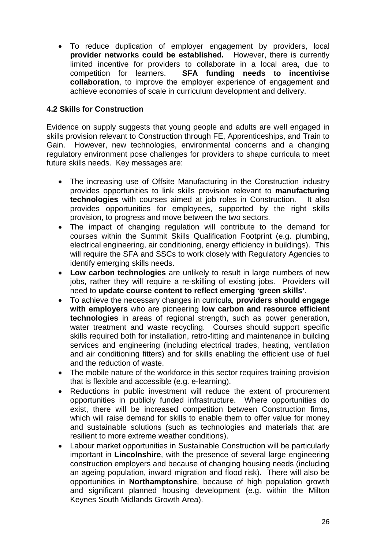To reduce duplication of employer engagement by providers, local **provider networks could be established.** However, there is currently limited incentive for providers to collaborate in a local area, due to competition for learners. **SFA funding needs to incentivise collaboration**, to improve the employer experience of engagement and achieve economies of scale in curriculum development and delivery.

# **4.2 Skills for Construction**

Evidence on supply suggests that young people and adults are well engaged in skills provision relevant to Construction through FE, Apprenticeships, and Train to Gain. However, new technologies, environmental concerns and a changing regulatory environment pose challenges for providers to shape curricula to meet future skills needs. Key messages are:

- The increasing use of Offsite Manufacturing in the Construction industry provides opportunities to link skills provision relevant to **manufacturing technologies** with courses aimed at job roles in Construction. It also provides opportunities for employees, supported by the right skills provision, to progress and move between the two sectors.
- The impact of changing regulation will contribute to the demand for courses within the Summit Skills Qualification Footprint (e.g. plumbing, electrical engineering, air conditioning, energy efficiency in buildings). This will require the SFA and SSCs to work closely with Regulatory Agencies to identify emerging skills needs.
- **Low carbon technologies** are unlikely to result in large numbers of new jobs, rather they will require a re-skilling of existing jobs. Providers will need to **update course content to reflect emerging 'green skills'**.
- To achieve the necessary changes in curricula, **providers should engage with employers** who are pioneering **low carbon and resource efficient technologies** in areas of regional strength, such as power generation, water treatment and waste recycling. Courses should support specific skills required both for installation, retro-fitting and maintenance in building services and engineering (including electrical trades, heating, ventilation and air conditioning fitters) and for skills enabling the efficient use of fuel and the reduction of waste.
- The mobile nature of the workforce in this sector requires training provision that is flexible and accessible (e.g. e-learning).
- Reductions in public investment will reduce the extent of procurement opportunities in publicly funded infrastructure. Where opportunities do exist, there will be increased competition between Construction firms, which will raise demand for skills to enable them to offer value for money and sustainable solutions (such as technologies and materials that are resilient to more extreme weather conditions).
- Labour market opportunities in Sustainable Construction will be particularly important in **Lincolnshire**, with the presence of several large engineering construction employers and because of changing housing needs (including an ageing population, inward migration and flood risk). There will also be opportunities in **Northamptonshire**, because of high population growth and significant planned housing development (e.g. within the Milton Keynes South Midlands Growth Area).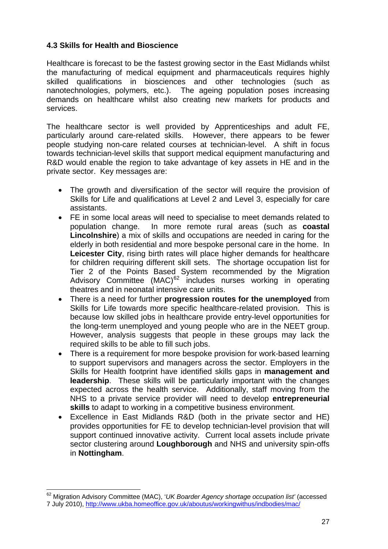# **4.3 Skills for Health and Bioscience**

Healthcare is forecast to be the fastest growing sector in the East Midlands whilst the manufacturing of medical equipment and pharmaceuticals requires highly skilled qualifications in biosciences and other technologies (such as nanotechnologies, polymers, etc.). The ageing population poses increasing demands on healthcare whilst also creating new markets for products and services.

The healthcare sector is well provided by Apprenticeships and adult FE, particularly around care-related skills. However, there appears to be fewer people studying non-care related courses at technician-level. A shift in focus towards technician-level skills that support medical equipment manufacturing and R&D would enable the region to take advantage of key assets in HE and in the private sector. Key messages are:

- The growth and diversification of the sector will require the provision of Skills for Life and qualifications at Level 2 and Level 3, especially for care assistants.
- FE in some local areas will need to specialise to meet demands related to population change. In more remote rural areas (such as **coastal Lincolnshire**) a mix of skills and occupations are needed in caring for the elderly in both residential and more bespoke personal care in the home. In **Leicester City**, rising birth rates will place higher demands for healthcare for children requiring different skill sets. The shortage occupation list for Tier 2 of the Points Based System recommended by the Migration Advisory Committee  $(MAC)^{62}$  $(MAC)^{62}$  $(MAC)^{62}$  includes nurses working in operating theatres and in neonatal intensive care units.
- There is a need for further **progression routes for the unemployed** from Skills for Life towards more specific healthcare-related provision. This is because low skilled jobs in healthcare provide entry-level opportunities for the long-term unemployed and young people who are in the NEET group. However, analysis suggests that people in these groups may lack the required skills to be able to fill such jobs.
- There is a requirement for more bespoke provision for work-based learning to support supervisors and managers across the sector. Employers in the Skills for Health footprint have identified skills gaps in **management and leadership**. These skills will be particularly important with the changes expected across the health service. Additionally, staff moving from the NHS to a private service provider will need to develop **entrepreneurial skills** to adapt to working in a competitive business environment.
- Excellence in East Midlands R&D (both in the private sector and HE) provides opportunities for FE to develop technician-level provision that will support continued innovative activity. Current local assets include private sector clustering around **Loughborough** and NHS and university spin-offs in **Nottingham**.

<span id="page-27-0"></span><sup>62</sup> Migration Advisory Committee (MAC), '*UK Boarder Agency shortage occupation list'* (accessed 7 July 2010), <http://www.ukba.homeoffice.gov.uk/aboutus/workingwithus/indbodies/mac/>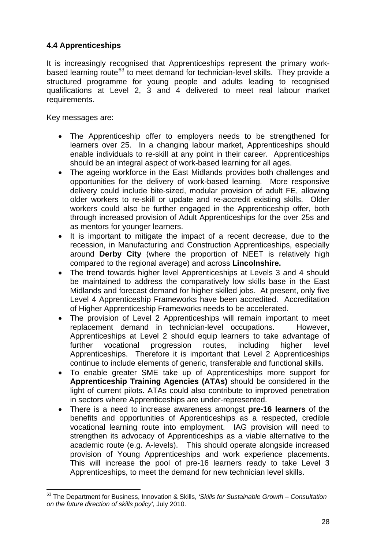# **4.4 Apprenticeships**

It is increasingly recognised that Apprenticeships represent the primary work-based learning route<sup>[63](#page-28-0)</sup> to meet demand for technician-level skills. They provide a structured programme for young people and adults leading to recognised qualifications at Level 2, 3 and 4 delivered to meet real labour market requirements.

Key messages are:

- The Apprenticeship offer to employers needs to be strengthened for learners over 25. In a changing labour market, Apprenticeships should enable individuals to re-skill at any point in their career. Apprenticeships should be an integral aspect of work-based learning for all ages.
- The ageing workforce in the East Midlands provides both challenges and opportunities for the delivery of work-based learning. More responsive delivery could include bite-sized, modular provision of adult FE, allowing older workers to re-skill or update and re-accredit existing skills. Older workers could also be further engaged in the Apprenticeship offer, both through increased provision of Adult Apprenticeships for the over 25s and as mentors for younger learners.
- It is important to mitigate the impact of a recent decrease, due to the recession, in Manufacturing and Construction Apprenticeships, especially around **Derby City** (where the proportion of NEET is relatively high compared to the regional average) and across **Lincolnshire.**
- The trend towards higher level Apprenticeships at Levels 3 and 4 should be maintained to address the comparatively low skills base in the East Midlands and forecast demand for higher skilled jobs. At present, only five Level 4 Apprenticeship Frameworks have been accredited. Accreditation of Higher Apprenticeship Frameworks needs to be accelerated.
- The provision of Level 2 Apprenticeships will remain important to meet replacement demand in technician-level occupations. However, Apprenticeships at Level 2 should equip learners to take advantage of further vocational progression routes, including higher level Apprenticeships. Therefore it is important that Level 2 Apprenticeships continue to include elements of generic, transferable and functional skills.
- To enable greater SME take up of Apprenticeships more support for **Apprenticeship Training Agencies (ATAs)** should be considered in the light of current pilots. ATAs could also contribute to improved penetration in sectors where Apprenticeships are under-represented.
- There is a need to increase awareness amongst **pre-16 learners** of the benefits and opportunities of Apprenticeships as a respected, credible vocational learning route into employment. IAG provision will need to strengthen its advocacy of Apprenticeships as a viable alternative to the academic route (e.g. A-levels). This should operate alongside increased provision of Young Apprenticeships and work experience placements. This will increase the pool of pre-16 learners ready to take Level 3 Apprenticeships, to meet the demand for new technician level skills.

<span id="page-28-0"></span><sup>63</sup> The Department for Business, Innovation & Skills, *'Skills for Sustainable Growth – Consultation on the future direction of skills policy'*, July 2010.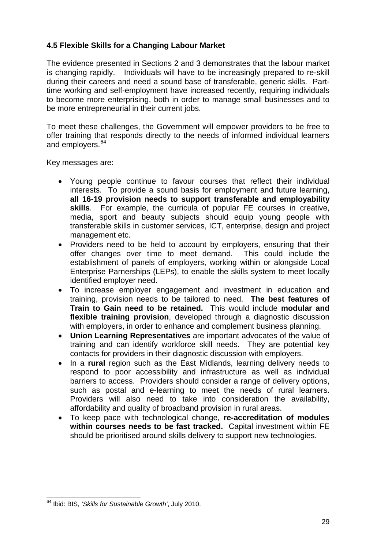# **4.5 Flexible Skills for a Changing Labour Market**

The evidence presented in Sections 2 and 3 demonstrates that the labour market is changing rapidly. Individuals will have to be increasingly prepared to re-skill during their careers and need a sound base of transferable, generic skills. Parttime working and self-employment have increased recently, requiring individuals to become more enterprising, both in order to manage small businesses and to be more entrepreneurial in their current jobs.

To meet these challenges, the Government will empower providers to be free to offer training that responds directly to the needs of informed individual learners and employers.<sup>[64](#page-29-0)</sup>

Key messages are:

- Young people continue to favour courses that reflect their individual interests. To provide a sound basis for employment and future learning, **all 16-19 provision needs to support transferable and employability skills**. For example, the curricula of popular FE courses in creative, media, sport and beauty subjects should equip young people with transferable skills in customer services, ICT, enterprise, design and project management etc.
- Providers need to be held to account by employers, ensuring that their offer changes over time to meet demand. This could include the establishment of panels of employers, working within or alongside Local Enterprise Parnerships (LEPs), to enable the skills system to meet locally identified employer need.
- To increase employer engagement and investment in education and training, provision needs to be tailored to need. **The best features of Train to Gain need to be retained.** This would include **modular and flexible training provision**, developed through a diagnostic discussion with employers, in order to enhance and complement business planning.
- **Union Learning Representatives** are important advocates of the value of training and can identify workforce skill needs. They are potential key contacts for providers in their diagnostic discussion with employers.
- In a **rural** region such as the East Midlands, learning delivery needs to respond to poor accessibility and infrastructure as well as individual barriers to access. Providers should consider a range of delivery options, such as postal and e-learning to meet the needs of rural learners. Providers will also need to take into consideration the availability, affordability and quality of broadband provision in rural areas.
- To keep pace with technological change, **re-accreditation of modules within courses needs to be fast tracked.** Capital investment within FE should be prioritised around skills delivery to support new technologies.

<span id="page-29-0"></span> 64 Ibid: BIS, *'Skills for Sustainable Growth'*, July 2010.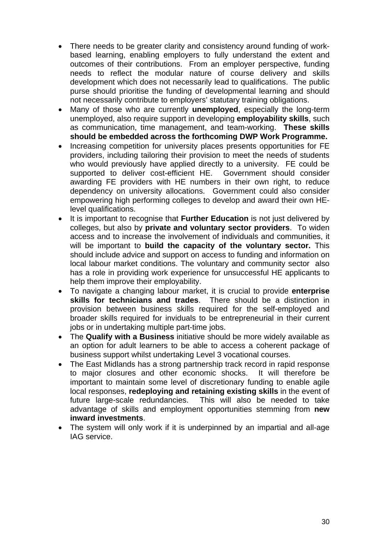- There needs to be greater clarity and consistency around funding of workbased learning, enabling employers to fully understand the extent and outcomes of their contributions. From an employer perspective, funding needs to reflect the modular nature of course delivery and skills development which does not necessarily lead to qualifications. The public purse should prioritise the funding of developmental learning and should not necessarily contribute to employers' statutary training obligations.
- Many of those who are currently **unemployed**, especially the long-term unemployed, also require support in developing **employability skills**, such as communication, time management, and team-working. **These skills should be embedded across the forthcoming DWP Work Programme.**
- Increasing competition for university places presents opportunities for FE providers, including tailoring their provision to meet the needs of students who would previously have applied directly to a university. FE could be supported to deliver cost-efficient HE. Government should consider awarding FE providers with HE numbers in their own right, to reduce dependency on university allocations. Government could also consider empowering high performing colleges to develop and award their own HElevel qualifications.
- It is important to recognise that **Further Education** is not just delivered by colleges, but also by **private and voluntary sector providers**. To widen access and to increase the involvement of individuals and communities, it will be important to **build the capacity of the voluntary sector.** This should include advice and support on access to funding and information on local labour market conditions. The voluntary and community sector also has a role in providing work experience for unsuccessful HE applicants to help them improve their employability.
- To navigate a changing labour market, it is crucial to provide **enterprise skills for technicians and trades**. There should be a distinction in provision between business skills required for the self-employed and broader skills required for inviduals to be entrepreneurial in their current jobs or in undertaking multiple part-time jobs.
- The **Qualify with a Business** initiative should be more widely available as an option for adult learners to be able to access a coherent package of business support whilst undertaking Level 3 vocational courses.
- The East Midlands has a strong partnership track record in rapid response to major closures and other economic shocks. It will therefore be important to maintain some level of discretionary funding to enable agile local responses, **redeploying and retaining existing skills** in the event of future large-scale redundancies. This will also be needed to take advantage of skills and employment opportunities stemming from **new inward investments**.
- The system will only work if it is underpinned by an impartial and all-age IAG service.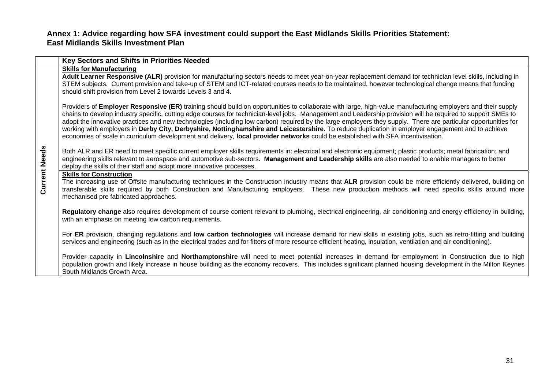#### **Annex 1: Advice regarding how SFA investment could support the East Midlands Skills Priorities Statement: East Midlands Skills Investment Plan**

|                      | Key Sectors and Shifts in Priorities Needed                                                                                                                                                                                                                                                                                                                                                                                                                                                                                                                                                                                                                                                                                                                                             |
|----------------------|-----------------------------------------------------------------------------------------------------------------------------------------------------------------------------------------------------------------------------------------------------------------------------------------------------------------------------------------------------------------------------------------------------------------------------------------------------------------------------------------------------------------------------------------------------------------------------------------------------------------------------------------------------------------------------------------------------------------------------------------------------------------------------------------|
|                      | <b>Skills for Manufacturing</b><br>Adult Learner Responsive (ALR) provision for manufacturing sectors needs to meet year-on-year replacement demand for technician level skills, including in<br>STEM subjects. Current provision and take-up of STEM and ICT-related courses needs to be maintained, however technological change means that funding<br>should shift provision from Level 2 towards Levels 3 and 4.                                                                                                                                                                                                                                                                                                                                                                    |
|                      | Providers of Employer Responsive (ER) training should build on opportunities to collaborate with large, high-value manufacturing employers and their supply<br>chains to develop industry specific, cutting edge courses for technician-level jobs. Management and Leadership provision will be required to support SMEs to<br>adopt the innovative practices and new technologies (including low carbon) required by the large employers they supply. There are particular opportunities for<br>working with employers in Derby City, Derbyshire, Nottinghamshire and Leicestershire. To reduce duplication in employer engagement and to achieve<br>economies of scale in curriculum development and delivery, local provider networks could be established with SFA incentivisation. |
| <b>Current Needs</b> | Both ALR and ER need to meet specific current employer skills requirements in: electrical and electronic equipment; plastic products; metal fabrication; and<br>engineering skills relevant to aerospace and automotive sub-sectors. Management and Leadership skills are also needed to enable managers to better<br>deploy the skills of their staff and adopt more innovative processes.                                                                                                                                                                                                                                                                                                                                                                                             |
|                      | <b>Skills for Construction</b><br>The increasing use of Offsite manufacturing techniques in the Construction industry means that ALR provision could be more efficiently delivered, building on<br>transferable skills required by both Construction and Manufacturing employers. These new production methods will need specific skills around more<br>mechanised pre fabricated approaches.                                                                                                                                                                                                                                                                                                                                                                                           |
|                      | Regulatory change also requires development of course content relevant to plumbing, electrical engineering, air conditioning and energy efficiency in building,<br>with an emphasis on meeting low carbon requirements.                                                                                                                                                                                                                                                                                                                                                                                                                                                                                                                                                                 |
|                      | For ER provision, changing regulations and low carbon technologies will increase demand for new skills in existing jobs, such as retro-fitting and building<br>services and engineering (such as in the electrical trades and for fitters of more resource efficient heating, insulation, ventilation and air-conditioning).                                                                                                                                                                                                                                                                                                                                                                                                                                                            |
|                      | Provider capacity in Lincolnshire and Northamptonshire will need to meet potential increases in demand for employment in Construction due to high<br>population growth and likely increase in house building as the economy recovers. This includes significant planned housing development in the Milton Keynes<br>South Midlands Growth Area.                                                                                                                                                                                                                                                                                                                                                                                                                                         |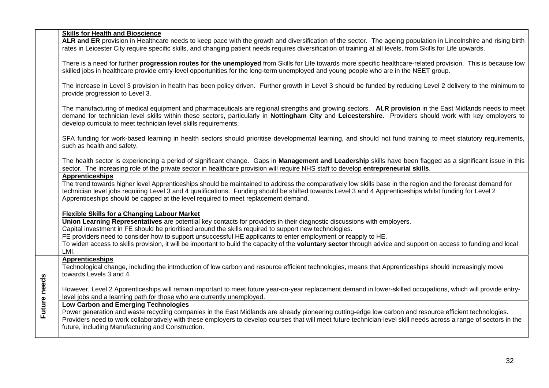|              | <b>Skills for Health and Bioscience</b><br>ALR and ER provision in Healthcare needs to keep pace with the growth and diversification of the sector. The ageing population in Lincolnshire and rising birth<br>rates in Leicester City require specific skills, and changing patient needs requires diversification of training at all levels, from Skills for Life upwards.                                                                                                                                                                                                            |
|--------------|----------------------------------------------------------------------------------------------------------------------------------------------------------------------------------------------------------------------------------------------------------------------------------------------------------------------------------------------------------------------------------------------------------------------------------------------------------------------------------------------------------------------------------------------------------------------------------------|
|              | There is a need for further progression routes for the unemployed from Skills for Life towards more specific healthcare-related provision. This is because low<br>skilled jobs in healthcare provide entry-level opportunities for the long-term unemployed and young people who are in the NEET group.                                                                                                                                                                                                                                                                                |
|              | The increase in Level 3 provision in health has been policy driven. Further growth in Level 3 should be funded by reducing Level 2 delivery to the minimum to<br>provide progression to Level 3.                                                                                                                                                                                                                                                                                                                                                                                       |
|              | The manufacturing of medical equipment and pharmaceuticals are regional strengths and growing sectors. ALR provision in the East Midlands needs to meet<br>demand for technician level skills within these sectors, particularly in Nottingham City and Leicestershire. Providers should work with key employers to<br>develop curricula to meet technician level skills requirements.                                                                                                                                                                                                 |
|              | SFA funding for work-based learning in health sectors should prioritise developmental learning, and should not fund training to meet statutory requirements,<br>such as health and safety.                                                                                                                                                                                                                                                                                                                                                                                             |
|              | The health sector is experiencing a period of significant change. Gaps in Management and Leadership skills have been flagged as a significant issue in this<br>sector. The increasing role of the private sector in healthcare provision will require NHS staff to develop entrepreneurial skills.                                                                                                                                                                                                                                                                                     |
|              | <b>Apprenticeships</b><br>The trend towards higher level Apprenticeships should be maintained to address the comparatively low skills base in the region and the forecast demand for<br>technician level jobs requiring Level 3 and 4 qualifications. Funding should be shifted towards Level 3 and 4 Apprenticeships whilst funding for Level 2<br>Apprenticeships should be capped at the level required to meet replacement demand.                                                                                                                                                 |
|              | <b>Flexible Skills for a Changing Labour Market</b><br>Union Learning Representatives are potential key contacts for providers in their diagnostic discussions with employers.<br>Capital investment in FE should be prioritised around the skills required to support new technologies.<br>FE providers need to consider how to support unsuccessful HE applicants to enter employment or reapply to HE.<br>To widen access to skills provision, it will be important to build the capacity of the voluntary sector through advice and support on access to funding and local<br>LMI. |
|              | <b>Apprenticeships</b><br>Technological change, including the introduction of low carbon and resource efficient technologies, means that Apprenticeships should increasingly move<br>towards Levels 3 and 4.                                                                                                                                                                                                                                                                                                                                                                           |
|              | However, Level 2 Apprenticeships will remain important to meet future year-on-year replacement demand in lower-skilled occupations, which will provide entry-<br>level jobs and a learning path for those who are currently unemployed.                                                                                                                                                                                                                                                                                                                                                |
| Future needs | <b>Low Carbon and Emerging Technologies</b><br>Power generation and waste recycling companies in the East Midlands are already pioneering cutting-edge low carbon and resource efficient technologies.<br>Providers need to work collaboratively with these employers to develop courses that will meet future technician-level skill needs across a range of sectors in the<br>future, including Manufacturing and Construction.                                                                                                                                                      |
|              |                                                                                                                                                                                                                                                                                                                                                                                                                                                                                                                                                                                        |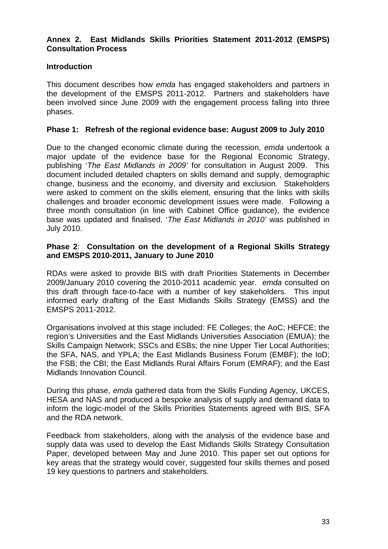#### **Annex 2. East Midlands Skills Priorities Statement 2011-2012 (EMSPS) Consultation Process**

# **Introduction**

This document describes how *emda* has engaged stakeholders and partners in the development of the EMSPS 2011-2012. Partners and stakeholders have been involved since June 2009 with the engagement process falling into three phases.

#### **Phase 1: Refresh of the regional evidence base: August 2009 to July 2010**

Due to the changed economic climate during the recession, *emda* undertook a major update of the evidence base for the Regional Economic Strategy, publishing '*The East Midlands in 2009'* for consultation in August 2009. This document included detailed chapters on skills demand and supply, demographic change, business and the economy, and diversity and exclusion. Stakeholders were asked to comment on the skills element, ensuring that the links with skills challenges and broader economic development issues were made. Following a three month consultation (in line with Cabinet Office guidance), the evidence base was updated and finalised. '*The East Midlands in 2010'* was published in July 2010.

#### **Phase 2**: **Consultation on the development of a Regional Skills Strategy and EMSPS 2010-2011, January to June 2010**

RDAs were asked to provide BIS with draft Priorities Statements in December 2009/January 2010 covering the 2010-2011 academic year. *emda* consulted on this draft through face-to-face with a number of key stakeholders. This input informed early drafting of the East Midlands Skills Strategy (EMSS) and the EMSPS 2011-2012.

Organisations involved at this stage included: FE Colleges; the AoC; HEFCE; the region's Universities and the East Midlands Universities Association (EMUA); the Skills Campaign Network; SSCs and ESBs; the nine Upper Tier Local Authorities; the SFA, NAS, and YPLA; the East Midlands Business Forum (EMBF); the IoD; the FSB; the CBI; the East Midlands Rural Affairs Forum (EMRAF); and the East Midlands Innovation Council.

During this phase, *emda* gathered data from the Skills Funding Agency, UKCES, HESA and NAS and produced a bespoke analysis of supply and demand data to inform the logic-model of the Skills Priorities Statements agreed with BIS, SFA and the RDA network.

Feedback from stakeholders, along with the analysis of the evidence base and supply data was used to develop the East Midlands Skills Strategy Consultation Paper, developed between May and June 2010. This paper set out options for key areas that the strategy would cover, suggested four skills themes and posed 19 key questions to partners and stakeholders.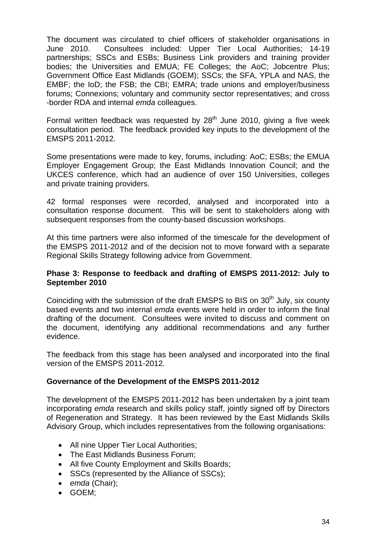The document was circulated to chief officers of stakeholder organisations in June 2010. Consultees included: Upper Tier Local Authorities; 14-19 partnerships; SSCs and ESBs; Business Link providers and training provider bodies; the Universities and EMUA; FE Colleges; the AoC; Jobcentre Plus; Government Office East Midlands (GOEM); SSCs; the SFA, YPLA and NAS, the EMBF; the IoD; the FSB; the CBI; EMRA; trade unions and employer/business forums; Connexions; voluntary and community sector representatives; and cross -border RDA and internal *emda* colleagues.

Formal written feedback was requested by  $28<sup>th</sup>$  June 2010, giving a five week consultation period. The feedback provided key inputs to the development of the EMSPS 2011-2012.

Some presentations were made to key, forums, including: AoC; ESBs; the EMUA Employer Engagement Group; the East Midlands Innovation Council; and the UKCES conference, which had an audience of over 150 Universities, colleges and private training providers.

42 formal responses were recorded, analysed and incorporated into a consultation response document. This will be sent to stakeholders along with subsequent responses from the county-based discussion workshops.

At this time partners were also informed of the timescale for the development of the EMSPS 2011-2012 and of the decision not to move forward with a separate Regional Skills Strategy following advice from Government.

#### **Phase 3: Response to feedback and drafting of EMSPS 2011-2012: July to September 2010**

Coinciding with the submission of the draft EMSPS to BIS on 30<sup>th</sup> July, six county based events and two internal *emda* events were held in order to inform the final drafting of the document. Consultees were invited to discuss and comment on the document, identifying any additional recommendations and any further evidence.

The feedback from this stage has been analysed and incorporated into the final version of the EMSPS 2011-2012.

#### **Governance of the Development of the EMSPS 2011-2012**

The development of the EMSPS 2011-2012 has been undertaken by a joint team incorporating *emda* research and skills policy staff, jointly signed off by Directors of Regeneration and Strategy. It has been reviewed by the East Midlands Skills Advisory Group, which includes representatives from the following organisations:

- All nine Upper Tier Local Authorities;
- The East Midlands Business Forum:
- All five County Employment and Skills Boards;
- SSCs (represented by the Alliance of SSCs):
- *emda* (Chair);
- GOEM;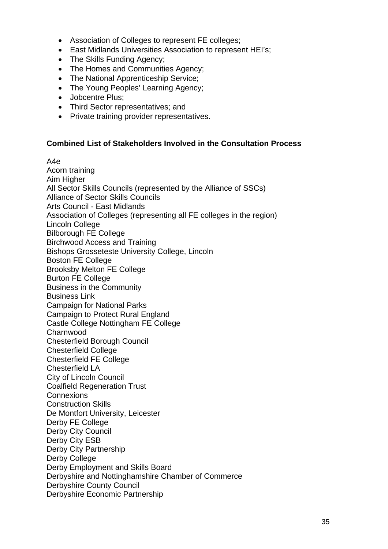- Association of Colleges to represent FE colleges;
- East Midlands Universities Association to represent HEI's;
- The Skills Funding Agency;
- The Homes and Communities Agency;
- The National Apprenticeship Service;
- The Young Peoples' Learning Agency;
- Jobcentre Plus:
- Third Sector representatives; and
- Private training provider representatives.

#### **Combined List of Stakeholders Involved in the Consultation Process**

A4e

Acorn training Aim Higher All Sector Skills Councils (represented by the Alliance of SSCs) Alliance of Sector Skills Councils Arts Council - East Midlands Association of Colleges (representing all FE colleges in the region) Lincoln College Bilborough FE College Birchwood Access and Training Bishops Grosseteste University College, Lincoln Boston FE College Brooksby Melton FE College Burton FE College Business in the Community Business Link Campaign for National Parks Campaign to Protect Rural England Castle College Nottingham FE College Charnwood Chesterfield Borough Council Chesterfield College Chesterfield FE College Chesterfield LA City of Lincoln Council Coalfield Regeneration Trust **Connexions** Construction Skills De Montfort University, Leicester Derby FE College Derby City Council Derby City ESB Derby City Partnership Derby College Derby Employment and Skills Board Derbyshire and Nottinghamshire Chamber of Commerce Derbyshire County Council Derbyshire Economic Partnership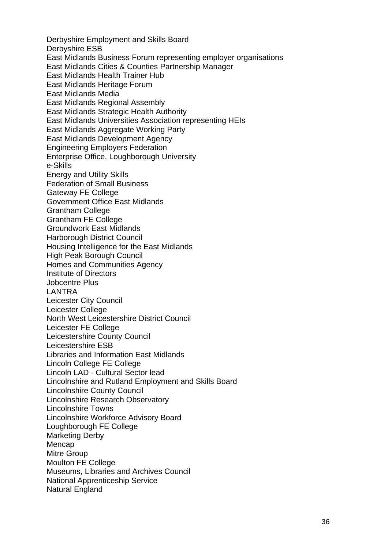Derbyshire Employment and Skills Board Derbyshire ESB East Midlands Business Forum representing employer organisations East Midlands Cities & Counties Partnership Manager East Midlands Health Trainer Hub East Midlands Heritage Forum East Midlands Media East Midlands Regional Assembly East Midlands Strategic Health Authority East Midlands Universities Association representing HEIs East Midlands Aggregate Working Party East Midlands Development Agency Engineering Employers Federation Enterprise Office, Loughborough University e-Skills Energy and Utility Skills Federation of Small Business Gateway FE College Government Office East Midlands Grantham College Grantham FE College Groundwork East Midlands Harborough District Council Housing Intelligence for the East Midlands High Peak Borough Council Homes and Communities Agency Institute of Directors Jobcentre Plus LANTRA Leicester City Council Leicester College North West Leicestershire District Council Leicester FE College Leicestershire County Council Leicestershire ESB Libraries and Information East Midlands Lincoln College FE College Lincoln LAD - Cultural Sector lead Lincolnshire and Rutland Employment and Skills Board Lincolnshire County Council Lincolnshire Research Observatory Lincolnshire Towns Lincolnshire Workforce Advisory Board Loughborough FE College Marketing Derby Mencap Mitre Group Moulton FE College Museums, Libraries and Archives Council National Apprenticeship Service Natural England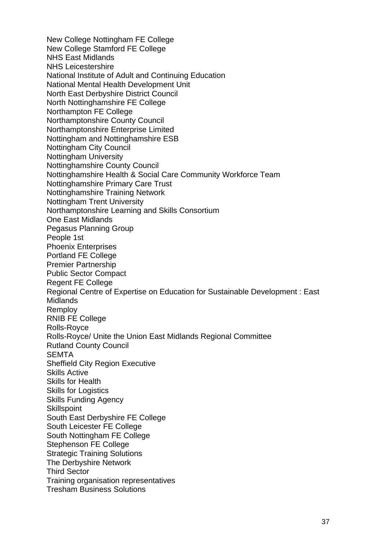New College Nottingham FE College New College Stamford FE College NHS East Midlands NHS Leicestershire National Institute of Adult and Continuing Education National Mental Health Development Unit North East Derbyshire District Council North Nottinghamshire FE College Northampton FE College Northamptonshire County Council Northamptonshire Enterprise Limited Nottingham and Nottinghamshire ESB Nottingham City Council Nottingham University Nottinghamshire County Council Nottinghamshire Health & Social Care Community Workforce Team Nottinghamshire Primary Care Trust Nottinghamshire Training Network Nottingham Trent University Northamptonshire Learning and Skills Consortium One East Midlands Pegasus Planning Group People 1st Phoenix Enterprises Portland FE College Premier Partnership Public Sector Compact Regent FE College Regional Centre of Expertise on Education for Sustainable Development : East **Midlands** Remploy RNIB FE College Rolls-Royce Rolls-Royce/ Unite the Union East Midlands Regional Committee Rutland County Council **SEMTA** Sheffield City Region Executive Skills Active Skills for Health Skills for Logistics Skills Funding Agency **Skillspoint** South East Derbyshire FE College South Leicester FE College South Nottingham FE College Stephenson FE College Strategic Training Solutions The Derbyshire Network Third Sector Training organisation representatives Tresham Business Solutions